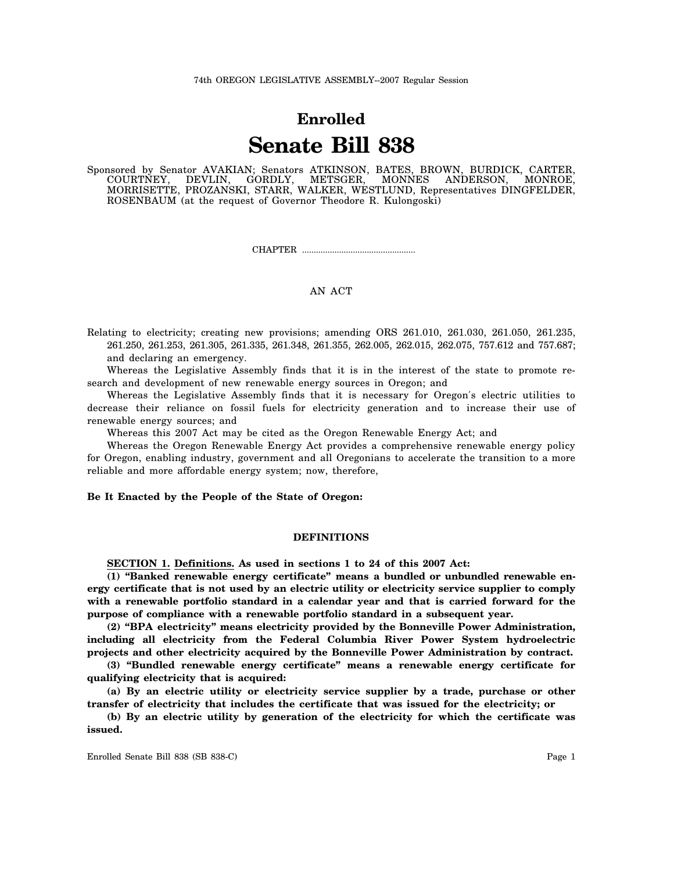# **Enrolled Senate Bill 838**

Sponsored by Senator AVAKIAN; Senators ATKINSON, BATES, BROWN, BURDICK, CARTER, COURTNEY, DEVLIN, GORDLY, METSGER, MONNES ANDERSON, MONROE, MORRISETTE, PROZANSKI, STARR, WALKER, WESTLUND, Representatives DINGFELDER, ROSENBAUM (at the request of Governor Theodore R. Kulongoski)

CHAPTER .................................................

# AN ACT

Relating to electricity; creating new provisions; amending ORS 261.010, 261.030, 261.050, 261.235, 261.250, 261.253, 261.305, 261.335, 261.348, 261.355, 262.005, 262.015, 262.075, 757.612 and 757.687; and declaring an emergency.

Whereas the Legislative Assembly finds that it is in the interest of the state to promote research and development of new renewable energy sources in Oregon; and

Whereas the Legislative Assembly finds that it is necessary for Oregon′s electric utilities to decrease their reliance on fossil fuels for electricity generation and to increase their use of renewable energy sources; and

Whereas this 2007 Act may be cited as the Oregon Renewable Energy Act; and

Whereas the Oregon Renewable Energy Act provides a comprehensive renewable energy policy for Oregon, enabling industry, government and all Oregonians to accelerate the transition to a more reliable and more affordable energy system; now, therefore,

### **Be It Enacted by the People of the State of Oregon:**

## **DEFINITIONS**

**SECTION 1. Definitions. As used in sections 1 to 24 of this 2007 Act:**

**(1) "Banked renewable energy certificate" means a bundled or unbundled renewable energy certificate that is not used by an electric utility or electricity service supplier to comply with a renewable portfolio standard in a calendar year and that is carried forward for the purpose of compliance with a renewable portfolio standard in a subsequent year.**

**(2) "BPA electricity" means electricity provided by the Bonneville Power Administration, including all electricity from the Federal Columbia River Power System hydroelectric projects and other electricity acquired by the Bonneville Power Administration by contract.**

**(3) "Bundled renewable energy certificate" means a renewable energy certificate for qualifying electricity that is acquired:**

**(a) By an electric utility or electricity service supplier by a trade, purchase or other transfer of electricity that includes the certificate that was issued for the electricity; or**

**(b) By an electric utility by generation of the electricity for which the certificate was issued.**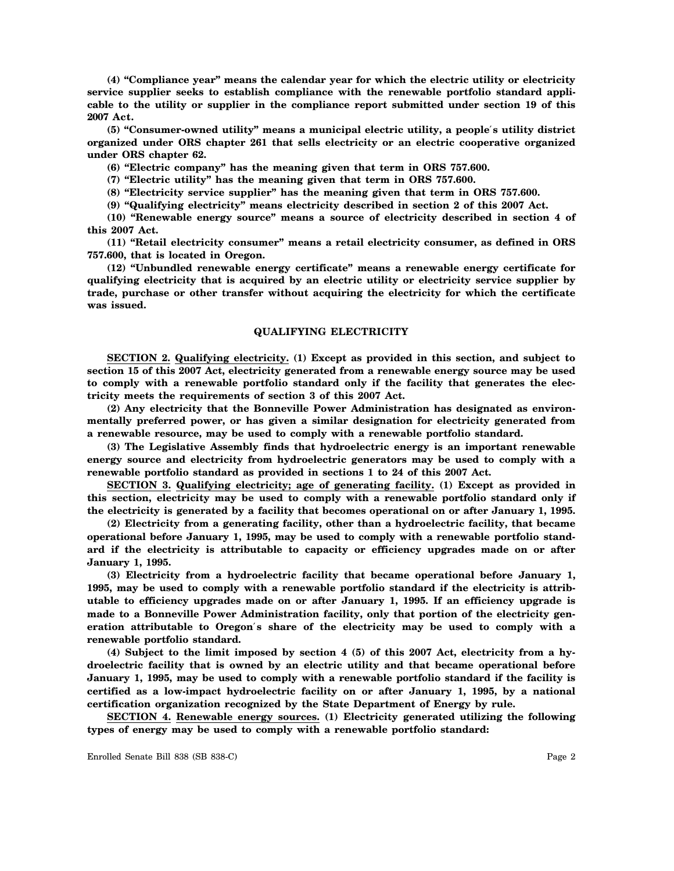**(4) "Compliance year" means the calendar year for which the electric utility or electricity service supplier seeks to establish compliance with the renewable portfolio standard applicable to the utility or supplier in the compliance report submitted under section 19 of this 2007 Act.**

**(5) "Consumer-owned utility" means a municipal electric utility, a people**′**s utility district organized under ORS chapter 261 that sells electricity or an electric cooperative organized under ORS chapter 62.**

**(6) "Electric company" has the meaning given that term in ORS 757.600.**

**(7) "Electric utility" has the meaning given that term in ORS 757.600.**

**(8) "Electricity service supplier" has the meaning given that term in ORS 757.600.**

**(9) "Qualifying electricity" means electricity described in section 2 of this 2007 Act.**

**(10) "Renewable energy source" means a source of electricity described in section 4 of this 2007 Act.**

**(11) "Retail electricity consumer" means a retail electricity consumer, as defined in ORS 757.600, that is located in Oregon.**

**(12) "Unbundled renewable energy certificate" means a renewable energy certificate for qualifying electricity that is acquired by an electric utility or electricity service supplier by trade, purchase or other transfer without acquiring the electricity for which the certificate was issued.**

#### **QUALIFYING ELECTRICITY**

**SECTION 2. Qualifying electricity. (1) Except as provided in this section, and subject to section 15 of this 2007 Act, electricity generated from a renewable energy source may be used to comply with a renewable portfolio standard only if the facility that generates the electricity meets the requirements of section 3 of this 2007 Act.**

**(2) Any electricity that the Bonneville Power Administration has designated as environmentally preferred power, or has given a similar designation for electricity generated from a renewable resource, may be used to comply with a renewable portfolio standard.**

**(3) The Legislative Assembly finds that hydroelectric energy is an important renewable energy source and electricity from hydroelectric generators may be used to comply with a renewable portfolio standard as provided in sections 1 to 24 of this 2007 Act.**

**SECTION 3. Qualifying electricity; age of generating facility. (1) Except as provided in this section, electricity may be used to comply with a renewable portfolio standard only if the electricity is generated by a facility that becomes operational on or after January 1, 1995.**

**(2) Electricity from a generating facility, other than a hydroelectric facility, that became operational before January 1, 1995, may be used to comply with a renewable portfolio standard if the electricity is attributable to capacity or efficiency upgrades made on or after January 1, 1995.**

**(3) Electricity from a hydroelectric facility that became operational before January 1, 1995, may be used to comply with a renewable portfolio standard if the electricity is attributable to efficiency upgrades made on or after January 1, 1995. If an efficiency upgrade is made to a Bonneville Power Administration facility, only that portion of the electricity generation attributable to Oregon**′**s share of the electricity may be used to comply with a renewable portfolio standard.**

**(4) Subject to the limit imposed by section 4 (5) of this 2007 Act, electricity from a hydroelectric facility that is owned by an electric utility and that became operational before January 1, 1995, may be used to comply with a renewable portfolio standard if the facility is certified as a low-impact hydroelectric facility on or after January 1, 1995, by a national certification organization recognized by the State Department of Energy by rule.**

**SECTION 4. Renewable energy sources. (1) Electricity generated utilizing the following types of energy may be used to comply with a renewable portfolio standard:**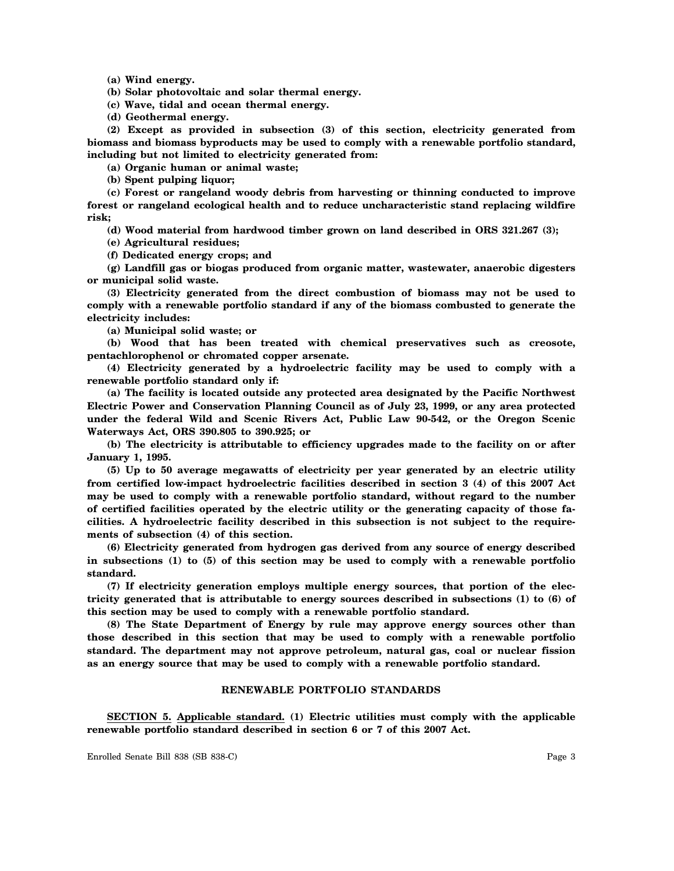**(a) Wind energy.**

**(b) Solar photovoltaic and solar thermal energy.**

**(c) Wave, tidal and ocean thermal energy.**

**(d) Geothermal energy.**

**(2) Except as provided in subsection (3) of this section, electricity generated from biomass and biomass byproducts may be used to comply with a renewable portfolio standard, including but not limited to electricity generated from:**

**(a) Organic human or animal waste;**

**(b) Spent pulping liquor;**

**(c) Forest or rangeland woody debris from harvesting or thinning conducted to improve forest or rangeland ecological health and to reduce uncharacteristic stand replacing wildfire risk;**

**(d) Wood material from hardwood timber grown on land described in ORS 321.267 (3);**

**(e) Agricultural residues;**

**(f) Dedicated energy crops; and**

**(g) Landfill gas or biogas produced from organic matter, wastewater, anaerobic digesters or municipal solid waste.**

**(3) Electricity generated from the direct combustion of biomass may not be used to comply with a renewable portfolio standard if any of the biomass combusted to generate the electricity includes:**

**(a) Municipal solid waste; or**

**(b) Wood that has been treated with chemical preservatives such as creosote, pentachlorophenol or chromated copper arsenate.**

**(4) Electricity generated by a hydroelectric facility may be used to comply with a renewable portfolio standard only if:**

**(a) The facility is located outside any protected area designated by the Pacific Northwest Electric Power and Conservation Planning Council as of July 23, 1999, or any area protected under the federal Wild and Scenic Rivers Act, Public Law 90-542, or the Oregon Scenic Waterways Act, ORS 390.805 to 390.925; or**

**(b) The electricity is attributable to efficiency upgrades made to the facility on or after January 1, 1995.**

**(5) Up to 50 average megawatts of electricity per year generated by an electric utility from certified low-impact hydroelectric facilities described in section 3 (4) of this 2007 Act may be used to comply with a renewable portfolio standard, without regard to the number of certified facilities operated by the electric utility or the generating capacity of those facilities. A hydroelectric facility described in this subsection is not subject to the requirements of subsection (4) of this section.**

**(6) Electricity generated from hydrogen gas derived from any source of energy described in subsections (1) to (5) of this section may be used to comply with a renewable portfolio standard.**

**(7) If electricity generation employs multiple energy sources, that portion of the electricity generated that is attributable to energy sources described in subsections (1) to (6) of this section may be used to comply with a renewable portfolio standard.**

**(8) The State Department of Energy by rule may approve energy sources other than those described in this section that may be used to comply with a renewable portfolio standard. The department may not approve petroleum, natural gas, coal or nuclear fission as an energy source that may be used to comply with a renewable portfolio standard.**

### **RENEWABLE PORTFOLIO STANDARDS**

**SECTION 5. Applicable standard. (1) Electric utilities must comply with the applicable renewable portfolio standard described in section 6 or 7 of this 2007 Act.**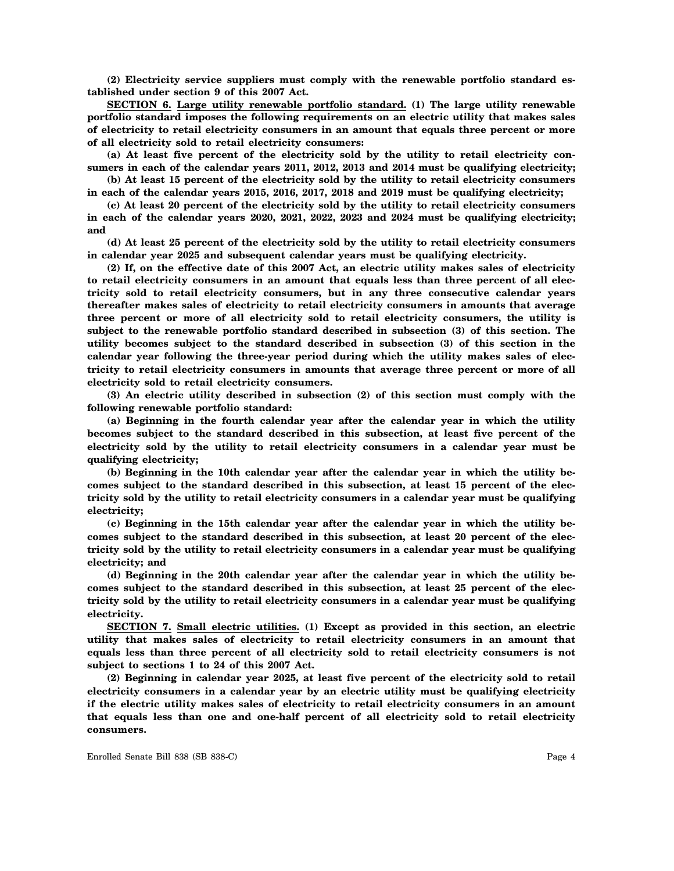**(2) Electricity service suppliers must comply with the renewable portfolio standard established under section 9 of this 2007 Act.**

**SECTION 6. Large utility renewable portfolio standard. (1) The large utility renewable portfolio standard imposes the following requirements on an electric utility that makes sales of electricity to retail electricity consumers in an amount that equals three percent or more of all electricity sold to retail electricity consumers:**

**(a) At least five percent of the electricity sold by the utility to retail electricity consumers in each of the calendar years 2011, 2012, 2013 and 2014 must be qualifying electricity;**

**(b) At least 15 percent of the electricity sold by the utility to retail electricity consumers in each of the calendar years 2015, 2016, 2017, 2018 and 2019 must be qualifying electricity;**

**(c) At least 20 percent of the electricity sold by the utility to retail electricity consumers in each of the calendar years 2020, 2021, 2022, 2023 and 2024 must be qualifying electricity; and**

**(d) At least 25 percent of the electricity sold by the utility to retail electricity consumers in calendar year 2025 and subsequent calendar years must be qualifying electricity.**

**(2) If, on the effective date of this 2007 Act, an electric utility makes sales of electricity to retail electricity consumers in an amount that equals less than three percent of all electricity sold to retail electricity consumers, but in any three consecutive calendar years thereafter makes sales of electricity to retail electricity consumers in amounts that average three percent or more of all electricity sold to retail electricity consumers, the utility is subject to the renewable portfolio standard described in subsection (3) of this section. The utility becomes subject to the standard described in subsection (3) of this section in the calendar year following the three-year period during which the utility makes sales of electricity to retail electricity consumers in amounts that average three percent or more of all electricity sold to retail electricity consumers.**

**(3) An electric utility described in subsection (2) of this section must comply with the following renewable portfolio standard:**

**(a) Beginning in the fourth calendar year after the calendar year in which the utility becomes subject to the standard described in this subsection, at least five percent of the electricity sold by the utility to retail electricity consumers in a calendar year must be qualifying electricity;**

**(b) Beginning in the 10th calendar year after the calendar year in which the utility becomes subject to the standard described in this subsection, at least 15 percent of the electricity sold by the utility to retail electricity consumers in a calendar year must be qualifying electricity;**

**(c) Beginning in the 15th calendar year after the calendar year in which the utility becomes subject to the standard described in this subsection, at least 20 percent of the electricity sold by the utility to retail electricity consumers in a calendar year must be qualifying electricity; and**

**(d) Beginning in the 20th calendar year after the calendar year in which the utility becomes subject to the standard described in this subsection, at least 25 percent of the electricity sold by the utility to retail electricity consumers in a calendar year must be qualifying electricity.**

**SECTION 7. Small electric utilities. (1) Except as provided in this section, an electric utility that makes sales of electricity to retail electricity consumers in an amount that equals less than three percent of all electricity sold to retail electricity consumers is not subject to sections 1 to 24 of this 2007 Act.**

**(2) Beginning in calendar year 2025, at least five percent of the electricity sold to retail electricity consumers in a calendar year by an electric utility must be qualifying electricity if the electric utility makes sales of electricity to retail electricity consumers in an amount that equals less than one and one-half percent of all electricity sold to retail electricity consumers.**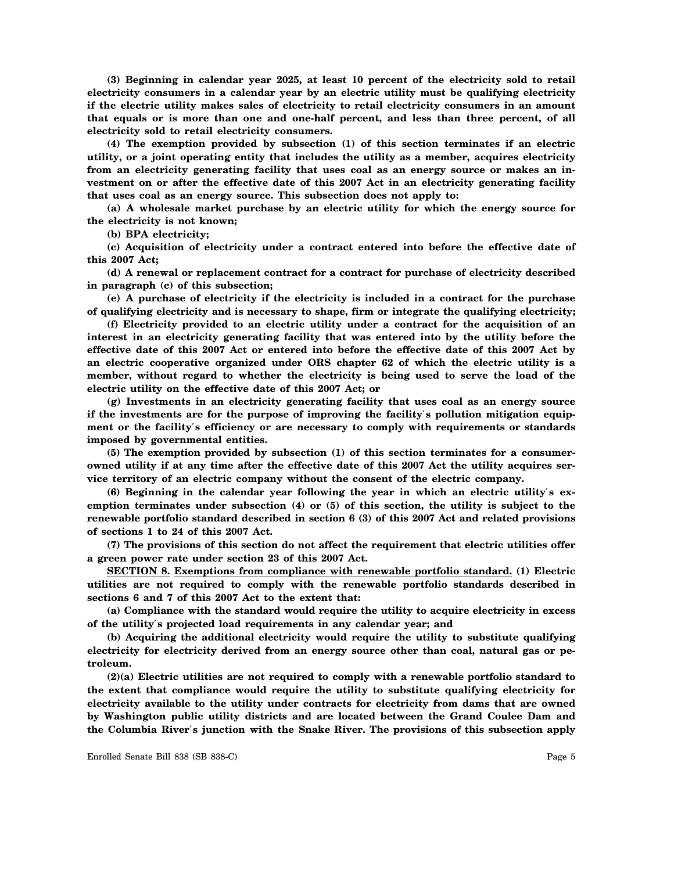**(3) Beginning in calendar year 2025, at least 10 percent of the electricity sold to retail electricity consumers in a calendar year by an electric utility must be qualifying electricity if the electric utility makes sales of electricity to retail electricity consumers in an amount that equals or is more than one and one-half percent, and less than three percent, of all electricity sold to retail electricity consumers.**

**(4) The exemption provided by subsection (1) of this section terminates if an electric utility, or a joint operating entity that includes the utility as a member, acquires electricity from an electricity generating facility that uses coal as an energy source or makes an investment on or after the effective date of this 2007 Act in an electricity generating facility that uses coal as an energy source. This subsection does not apply to:**

**(a) A wholesale market purchase by an electric utility for which the energy source for the electricity is not known;**

**(b) BPA electricity;**

**(c) Acquisition of electricity under a contract entered into before the effective date of this 2007 Act;**

**(d) A renewal or replacement contract for a contract for purchase of electricity described in paragraph (c) of this subsection;**

**(e) A purchase of electricity if the electricity is included in a contract for the purchase of qualifying electricity and is necessary to shape, firm or integrate the qualifying electricity;**

**(f) Electricity provided to an electric utility under a contract for the acquisition of an interest in an electricity generating facility that was entered into by the utility before the effective date of this 2007 Act or entered into before the effective date of this 2007 Act by an electric cooperative organized under ORS chapter 62 of which the electric utility is a member, without regard to whether the electricity is being used to serve the load of the electric utility on the effective date of this 2007 Act; or**

**(g) Investments in an electricity generating facility that uses coal as an energy source if the investments are for the purpose of improving the facility**′**s pollution mitigation equipment or the facility**′**s efficiency or are necessary to comply with requirements or standards imposed by governmental entities.**

**(5) The exemption provided by subsection (1) of this section terminates for a consumerowned utility if at any time after the effective date of this 2007 Act the utility acquires service territory of an electric company without the consent of the electric company.**

**(6) Beginning in the calendar year following the year in which an electric utility**′**s exemption terminates under subsection (4) or (5) of this section, the utility is subject to the renewable portfolio standard described in section 6 (3) of this 2007 Act and related provisions of sections 1 to 24 of this 2007 Act.**

**(7) The provisions of this section do not affect the requirement that electric utilities offer a green power rate under section 23 of this 2007 Act.**

**SECTION 8. Exemptions from compliance with renewable portfolio standard. (1) Electric utilities are not required to comply with the renewable portfolio standards described in sections 6 and 7 of this 2007 Act to the extent that:**

**(a) Compliance with the standard would require the utility to acquire electricity in excess of the utility**′**s projected load requirements in any calendar year; and**

**(b) Acquiring the additional electricity would require the utility to substitute qualifying electricity for electricity derived from an energy source other than coal, natural gas or petroleum.**

**(2)(a) Electric utilities are not required to comply with a renewable portfolio standard to the extent that compliance would require the utility to substitute qualifying electricity for electricity available to the utility under contracts for electricity from dams that are owned by Washington public utility districts and are located between the Grand Coulee Dam and the Columbia River**′**s junction with the Snake River. The provisions of this subsection apply**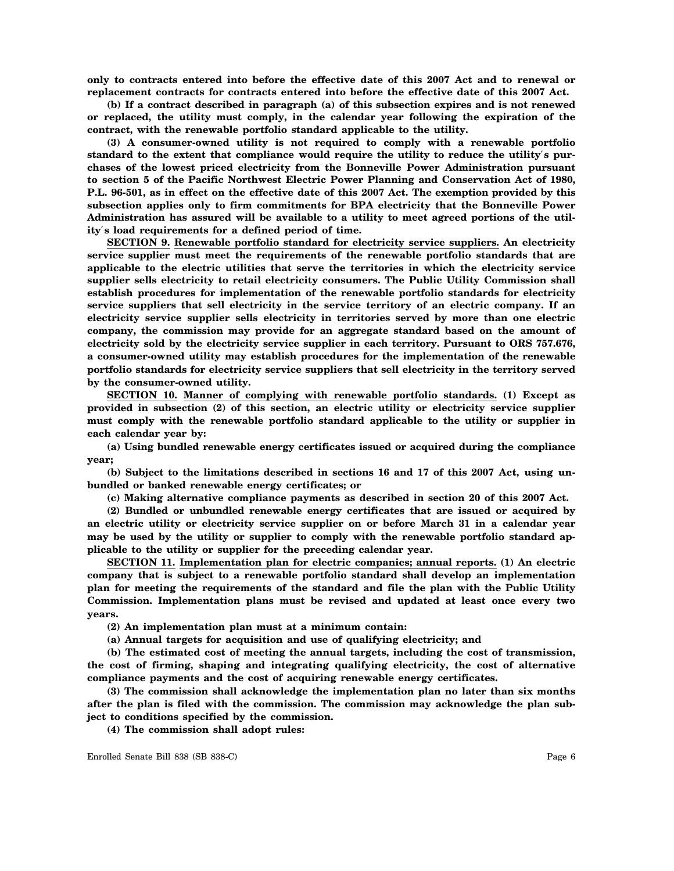**only to contracts entered into before the effective date of this 2007 Act and to renewal or replacement contracts for contracts entered into before the effective date of this 2007 Act.**

**(b) If a contract described in paragraph (a) of this subsection expires and is not renewed or replaced, the utility must comply, in the calendar year following the expiration of the contract, with the renewable portfolio standard applicable to the utility.**

**(3) A consumer-owned utility is not required to comply with a renewable portfolio standard to the extent that compliance would require the utility to reduce the utility**′**s purchases of the lowest priced electricity from the Bonneville Power Administration pursuant to section 5 of the Pacific Northwest Electric Power Planning and Conservation Act of 1980, P.L. 96-501, as in effect on the effective date of this 2007 Act. The exemption provided by this subsection applies only to firm commitments for BPA electricity that the Bonneville Power Administration has assured will be available to a utility to meet agreed portions of the utility**′**s load requirements for a defined period of time.**

**SECTION 9. Renewable portfolio standard for electricity service suppliers. An electricity service supplier must meet the requirements of the renewable portfolio standards that are applicable to the electric utilities that serve the territories in which the electricity service supplier sells electricity to retail electricity consumers. The Public Utility Commission shall establish procedures for implementation of the renewable portfolio standards for electricity service suppliers that sell electricity in the service territory of an electric company. If an electricity service supplier sells electricity in territories served by more than one electric company, the commission may provide for an aggregate standard based on the amount of electricity sold by the electricity service supplier in each territory. Pursuant to ORS 757.676, a consumer-owned utility may establish procedures for the implementation of the renewable portfolio standards for electricity service suppliers that sell electricity in the territory served by the consumer-owned utility.**

**SECTION 10. Manner of complying with renewable portfolio standards. (1) Except as provided in subsection (2) of this section, an electric utility or electricity service supplier must comply with the renewable portfolio standard applicable to the utility or supplier in each calendar year by:**

**(a) Using bundled renewable energy certificates issued or acquired during the compliance year;**

**(b) Subject to the limitations described in sections 16 and 17 of this 2007 Act, using unbundled or banked renewable energy certificates; or**

**(c) Making alternative compliance payments as described in section 20 of this 2007 Act.**

**(2) Bundled or unbundled renewable energy certificates that are issued or acquired by an electric utility or electricity service supplier on or before March 31 in a calendar year may be used by the utility or supplier to comply with the renewable portfolio standard applicable to the utility or supplier for the preceding calendar year.**

**SECTION 11. Implementation plan for electric companies; annual reports. (1) An electric company that is subject to a renewable portfolio standard shall develop an implementation plan for meeting the requirements of the standard and file the plan with the Public Utility Commission. Implementation plans must be revised and updated at least once every two years.**

**(2) An implementation plan must at a minimum contain:**

**(a) Annual targets for acquisition and use of qualifying electricity; and**

**(b) The estimated cost of meeting the annual targets, including the cost of transmission, the cost of firming, shaping and integrating qualifying electricity, the cost of alternative compliance payments and the cost of acquiring renewable energy certificates.**

**(3) The commission shall acknowledge the implementation plan no later than six months after the plan is filed with the commission. The commission may acknowledge the plan subject to conditions specified by the commission.**

**(4) The commission shall adopt rules:**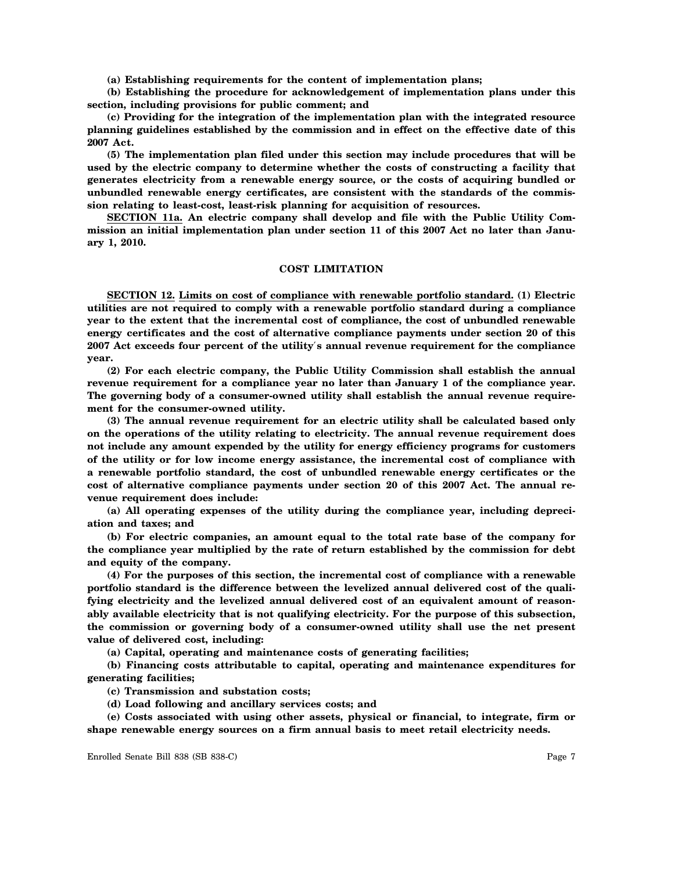**(a) Establishing requirements for the content of implementation plans;**

**(b) Establishing the procedure for acknowledgement of implementation plans under this section, including provisions for public comment; and**

**(c) Providing for the integration of the implementation plan with the integrated resource planning guidelines established by the commission and in effect on the effective date of this 2007 Act.**

**(5) The implementation plan filed under this section may include procedures that will be used by the electric company to determine whether the costs of constructing a facility that generates electricity from a renewable energy source, or the costs of acquiring bundled or unbundled renewable energy certificates, are consistent with the standards of the commission relating to least-cost, least-risk planning for acquisition of resources.**

**SECTION 11a. An electric company shall develop and file with the Public Utility Commission an initial implementation plan under section 11 of this 2007 Act no later than January 1, 2010.**

#### **COST LIMITATION**

**SECTION 12. Limits on cost of compliance with renewable portfolio standard. (1) Electric utilities are not required to comply with a renewable portfolio standard during a compliance year to the extent that the incremental cost of compliance, the cost of unbundled renewable energy certificates and the cost of alternative compliance payments under section 20 of this 2007 Act exceeds four percent of the utility**′**s annual revenue requirement for the compliance year.**

**(2) For each electric company, the Public Utility Commission shall establish the annual revenue requirement for a compliance year no later than January 1 of the compliance year. The governing body of a consumer-owned utility shall establish the annual revenue requirement for the consumer-owned utility.**

**(3) The annual revenue requirement for an electric utility shall be calculated based only on the operations of the utility relating to electricity. The annual revenue requirement does not include any amount expended by the utility for energy efficiency programs for customers of the utility or for low income energy assistance, the incremental cost of compliance with a renewable portfolio standard, the cost of unbundled renewable energy certificates or the cost of alternative compliance payments under section 20 of this 2007 Act. The annual revenue requirement does include:**

**(a) All operating expenses of the utility during the compliance year, including depreciation and taxes; and**

**(b) For electric companies, an amount equal to the total rate base of the company for the compliance year multiplied by the rate of return established by the commission for debt and equity of the company.**

**(4) For the purposes of this section, the incremental cost of compliance with a renewable portfolio standard is the difference between the levelized annual delivered cost of the qualifying electricity and the levelized annual delivered cost of an equivalent amount of reasonably available electricity that is not qualifying electricity. For the purpose of this subsection, the commission or governing body of a consumer-owned utility shall use the net present value of delivered cost, including:**

**(a) Capital, operating and maintenance costs of generating facilities;**

**(b) Financing costs attributable to capital, operating and maintenance expenditures for generating facilities;**

**(c) Transmission and substation costs;**

**(d) Load following and ancillary services costs; and**

**(e) Costs associated with using other assets, physical or financial, to integrate, firm or shape renewable energy sources on a firm annual basis to meet retail electricity needs.**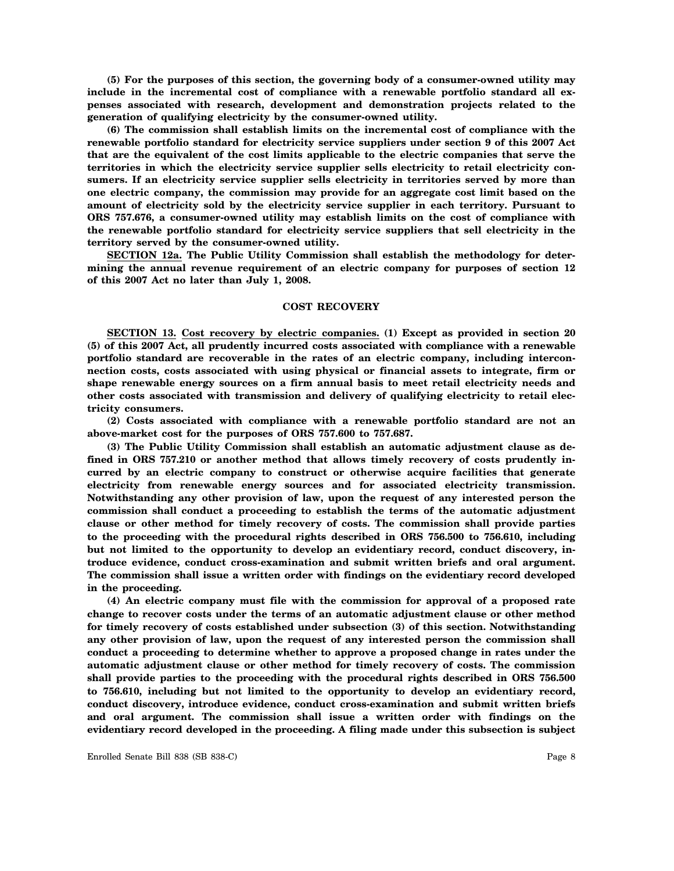**(5) For the purposes of this section, the governing body of a consumer-owned utility may include in the incremental cost of compliance with a renewable portfolio standard all expenses associated with research, development and demonstration projects related to the generation of qualifying electricity by the consumer-owned utility.**

**(6) The commission shall establish limits on the incremental cost of compliance with the renewable portfolio standard for electricity service suppliers under section 9 of this 2007 Act that are the equivalent of the cost limits applicable to the electric companies that serve the territories in which the electricity service supplier sells electricity to retail electricity consumers. If an electricity service supplier sells electricity in territories served by more than one electric company, the commission may provide for an aggregate cost limit based on the amount of electricity sold by the electricity service supplier in each territory. Pursuant to ORS 757.676, a consumer-owned utility may establish limits on the cost of compliance with the renewable portfolio standard for electricity service suppliers that sell electricity in the territory served by the consumer-owned utility.**

**SECTION 12a. The Public Utility Commission shall establish the methodology for determining the annual revenue requirement of an electric company for purposes of section 12 of this 2007 Act no later than July 1, 2008.**

#### **COST RECOVERY**

**SECTION 13. Cost recovery by electric companies. (1) Except as provided in section 20 (5) of this 2007 Act, all prudently incurred costs associated with compliance with a renewable portfolio standard are recoverable in the rates of an electric company, including interconnection costs, costs associated with using physical or financial assets to integrate, firm or shape renewable energy sources on a firm annual basis to meet retail electricity needs and other costs associated with transmission and delivery of qualifying electricity to retail electricity consumers.**

**(2) Costs associated with compliance with a renewable portfolio standard are not an above-market cost for the purposes of ORS 757.600 to 757.687.**

**(3) The Public Utility Commission shall establish an automatic adjustment clause as defined in ORS 757.210 or another method that allows timely recovery of costs prudently incurred by an electric company to construct or otherwise acquire facilities that generate electricity from renewable energy sources and for associated electricity transmission. Notwithstanding any other provision of law, upon the request of any interested person the commission shall conduct a proceeding to establish the terms of the automatic adjustment clause or other method for timely recovery of costs. The commission shall provide parties to the proceeding with the procedural rights described in ORS 756.500 to 756.610, including but not limited to the opportunity to develop an evidentiary record, conduct discovery, introduce evidence, conduct cross-examination and submit written briefs and oral argument. The commission shall issue a written order with findings on the evidentiary record developed in the proceeding.**

**(4) An electric company must file with the commission for approval of a proposed rate change to recover costs under the terms of an automatic adjustment clause or other method for timely recovery of costs established under subsection (3) of this section. Notwithstanding any other provision of law, upon the request of any interested person the commission shall conduct a proceeding to determine whether to approve a proposed change in rates under the automatic adjustment clause or other method for timely recovery of costs. The commission shall provide parties to the proceeding with the procedural rights described in ORS 756.500 to 756.610, including but not limited to the opportunity to develop an evidentiary record, conduct discovery, introduce evidence, conduct cross-examination and submit written briefs and oral argument. The commission shall issue a written order with findings on the evidentiary record developed in the proceeding. A filing made under this subsection is subject**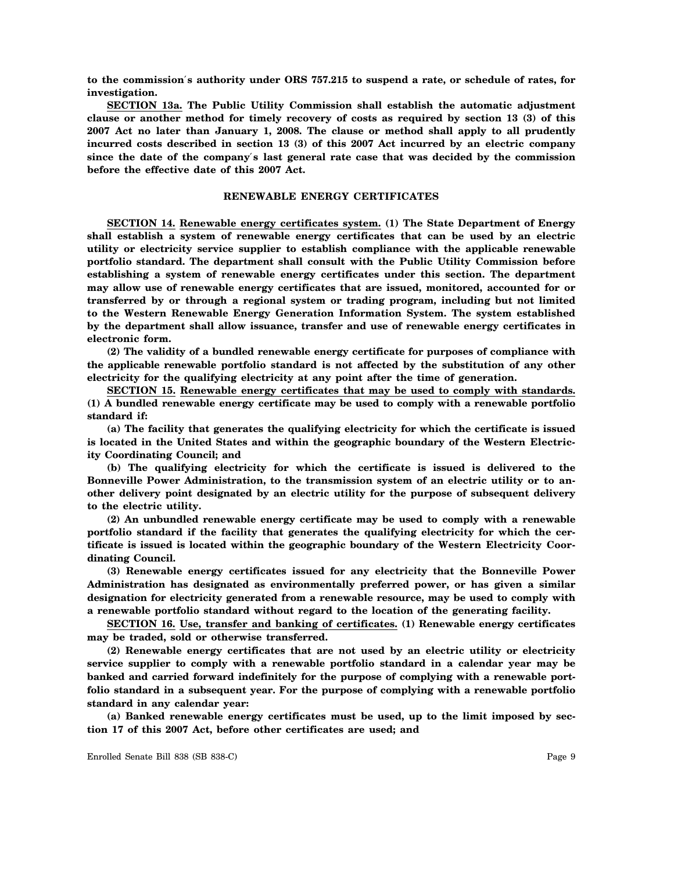**to the commission**′**s authority under ORS 757.215 to suspend a rate, or schedule of rates, for investigation.**

**SECTION 13a. The Public Utility Commission shall establish the automatic adjustment clause or another method for timely recovery of costs as required by section 13 (3) of this 2007 Act no later than January 1, 2008. The clause or method shall apply to all prudently incurred costs described in section 13 (3) of this 2007 Act incurred by an electric company since the date of the company**′**s last general rate case that was decided by the commission before the effective date of this 2007 Act.**

### **RENEWABLE ENERGY CERTIFICATES**

**SECTION 14. Renewable energy certificates system. (1) The State Department of Energy shall establish a system of renewable energy certificates that can be used by an electric utility or electricity service supplier to establish compliance with the applicable renewable portfolio standard. The department shall consult with the Public Utility Commission before establishing a system of renewable energy certificates under this section. The department may allow use of renewable energy certificates that are issued, monitored, accounted for or transferred by or through a regional system or trading program, including but not limited to the Western Renewable Energy Generation Information System. The system established by the department shall allow issuance, transfer and use of renewable energy certificates in electronic form.**

**(2) The validity of a bundled renewable energy certificate for purposes of compliance with the applicable renewable portfolio standard is not affected by the substitution of any other electricity for the qualifying electricity at any point after the time of generation.**

**SECTION 15. Renewable energy certificates that may be used to comply with standards. (1) A bundled renewable energy certificate may be used to comply with a renewable portfolio standard if:**

**(a) The facility that generates the qualifying electricity for which the certificate is issued is located in the United States and within the geographic boundary of the Western Electricity Coordinating Council; and**

**(b) The qualifying electricity for which the certificate is issued is delivered to the Bonneville Power Administration, to the transmission system of an electric utility or to another delivery point designated by an electric utility for the purpose of subsequent delivery to the electric utility.**

**(2) An unbundled renewable energy certificate may be used to comply with a renewable portfolio standard if the facility that generates the qualifying electricity for which the certificate is issued is located within the geographic boundary of the Western Electricity Coordinating Council.**

**(3) Renewable energy certificates issued for any electricity that the Bonneville Power Administration has designated as environmentally preferred power, or has given a similar designation for electricity generated from a renewable resource, may be used to comply with a renewable portfolio standard without regard to the location of the generating facility.**

**SECTION 16. Use, transfer and banking of certificates. (1) Renewable energy certificates may be traded, sold or otherwise transferred.**

**(2) Renewable energy certificates that are not used by an electric utility or electricity service supplier to comply with a renewable portfolio standard in a calendar year may be banked and carried forward indefinitely for the purpose of complying with a renewable portfolio standard in a subsequent year. For the purpose of complying with a renewable portfolio standard in any calendar year:**

**(a) Banked renewable energy certificates must be used, up to the limit imposed by section 17 of this 2007 Act, before other certificates are used; and**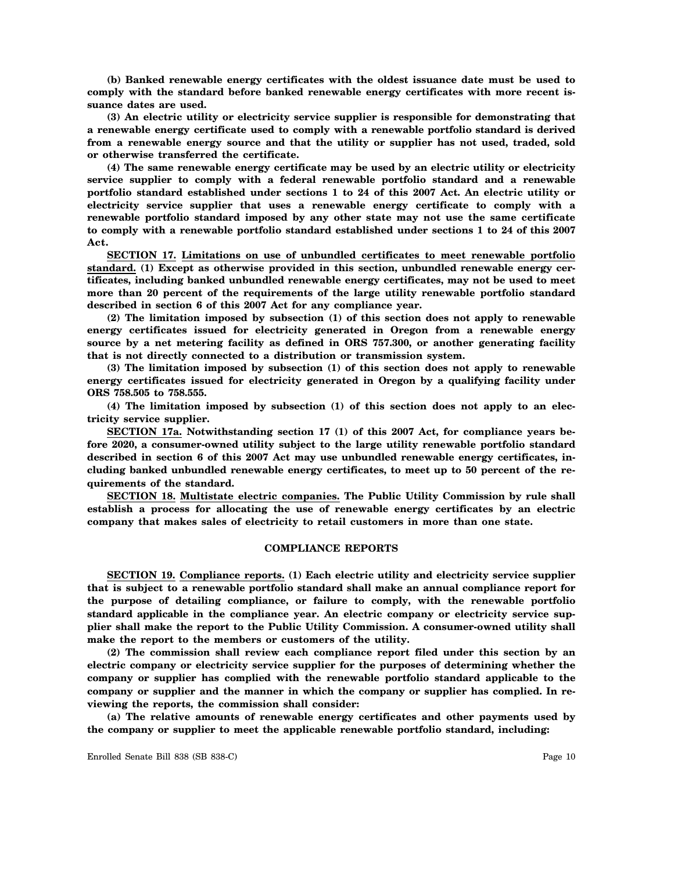**(b) Banked renewable energy certificates with the oldest issuance date must be used to comply with the standard before banked renewable energy certificates with more recent issuance dates are used.**

**(3) An electric utility or electricity service supplier is responsible for demonstrating that a renewable energy certificate used to comply with a renewable portfolio standard is derived from a renewable energy source and that the utility or supplier has not used, traded, sold or otherwise transferred the certificate.**

**(4) The same renewable energy certificate may be used by an electric utility or electricity service supplier to comply with a federal renewable portfolio standard and a renewable portfolio standard established under sections 1 to 24 of this 2007 Act. An electric utility or electricity service supplier that uses a renewable energy certificate to comply with a renewable portfolio standard imposed by any other state may not use the same certificate to comply with a renewable portfolio standard established under sections 1 to 24 of this 2007 Act.**

**SECTION 17. Limitations on use of unbundled certificates to meet renewable portfolio standard. (1) Except as otherwise provided in this section, unbundled renewable energy certificates, including banked unbundled renewable energy certificates, may not be used to meet more than 20 percent of the requirements of the large utility renewable portfolio standard described in section 6 of this 2007 Act for any compliance year.**

**(2) The limitation imposed by subsection (1) of this section does not apply to renewable energy certificates issued for electricity generated in Oregon from a renewable energy source by a net metering facility as defined in ORS 757.300, or another generating facility that is not directly connected to a distribution or transmission system.**

**(3) The limitation imposed by subsection (1) of this section does not apply to renewable energy certificates issued for electricity generated in Oregon by a qualifying facility under ORS 758.505 to 758.555.**

**(4) The limitation imposed by subsection (1) of this section does not apply to an electricity service supplier.**

**SECTION 17a. Notwithstanding section 17 (1) of this 2007 Act, for compliance years before 2020, a consumer-owned utility subject to the large utility renewable portfolio standard described in section 6 of this 2007 Act may use unbundled renewable energy certificates, including banked unbundled renewable energy certificates, to meet up to 50 percent of the requirements of the standard.**

**SECTION 18. Multistate electric companies. The Public Utility Commission by rule shall establish a process for allocating the use of renewable energy certificates by an electric company that makes sales of electricity to retail customers in more than one state.**

#### **COMPLIANCE REPORTS**

**SECTION 19. Compliance reports. (1) Each electric utility and electricity service supplier that is subject to a renewable portfolio standard shall make an annual compliance report for the purpose of detailing compliance, or failure to comply, with the renewable portfolio standard applicable in the compliance year. An electric company or electricity service supplier shall make the report to the Public Utility Commission. A consumer-owned utility shall make the report to the members or customers of the utility.**

**(2) The commission shall review each compliance report filed under this section by an electric company or electricity service supplier for the purposes of determining whether the company or supplier has complied with the renewable portfolio standard applicable to the company or supplier and the manner in which the company or supplier has complied. In reviewing the reports, the commission shall consider:**

**(a) The relative amounts of renewable energy certificates and other payments used by the company or supplier to meet the applicable renewable portfolio standard, including:**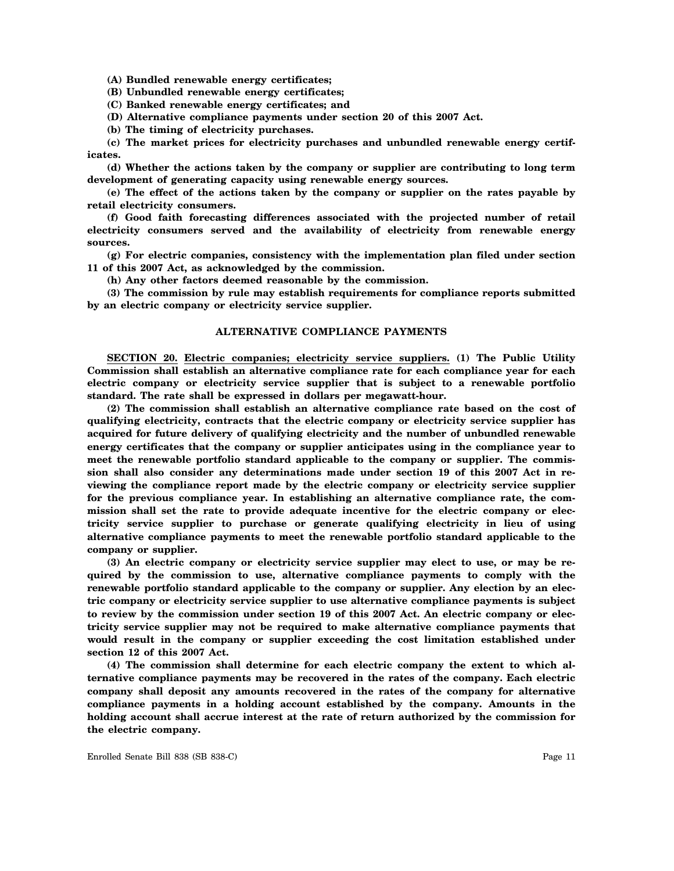**(A) Bundled renewable energy certificates;**

**(B) Unbundled renewable energy certificates;**

**(C) Banked renewable energy certificates; and**

**(D) Alternative compliance payments under section 20 of this 2007 Act.**

**(b) The timing of electricity purchases.**

**(c) The market prices for electricity purchases and unbundled renewable energy certificates.**

**(d) Whether the actions taken by the company or supplier are contributing to long term development of generating capacity using renewable energy sources.**

**(e) The effect of the actions taken by the company or supplier on the rates payable by retail electricity consumers.**

**(f) Good faith forecasting differences associated with the projected number of retail electricity consumers served and the availability of electricity from renewable energy sources.**

**(g) For electric companies, consistency with the implementation plan filed under section 11 of this 2007 Act, as acknowledged by the commission.**

**(h) Any other factors deemed reasonable by the commission.**

**(3) The commission by rule may establish requirements for compliance reports submitted by an electric company or electricity service supplier.**

#### **ALTERNATIVE COMPLIANCE PAYMENTS**

**SECTION 20. Electric companies; electricity service suppliers. (1) The Public Utility Commission shall establish an alternative compliance rate for each compliance year for each electric company or electricity service supplier that is subject to a renewable portfolio standard. The rate shall be expressed in dollars per megawatt-hour.**

**(2) The commission shall establish an alternative compliance rate based on the cost of qualifying electricity, contracts that the electric company or electricity service supplier has acquired for future delivery of qualifying electricity and the number of unbundled renewable energy certificates that the company or supplier anticipates using in the compliance year to meet the renewable portfolio standard applicable to the company or supplier. The commission shall also consider any determinations made under section 19 of this 2007 Act in reviewing the compliance report made by the electric company or electricity service supplier for the previous compliance year. In establishing an alternative compliance rate, the commission shall set the rate to provide adequate incentive for the electric company or electricity service supplier to purchase or generate qualifying electricity in lieu of using alternative compliance payments to meet the renewable portfolio standard applicable to the company or supplier.**

**(3) An electric company or electricity service supplier may elect to use, or may be required by the commission to use, alternative compliance payments to comply with the renewable portfolio standard applicable to the company or supplier. Any election by an electric company or electricity service supplier to use alternative compliance payments is subject to review by the commission under section 19 of this 2007 Act. An electric company or electricity service supplier may not be required to make alternative compliance payments that would result in the company or supplier exceeding the cost limitation established under section 12 of this 2007 Act.**

**(4) The commission shall determine for each electric company the extent to which alternative compliance payments may be recovered in the rates of the company. Each electric company shall deposit any amounts recovered in the rates of the company for alternative compliance payments in a holding account established by the company. Amounts in the holding account shall accrue interest at the rate of return authorized by the commission for the electric company.**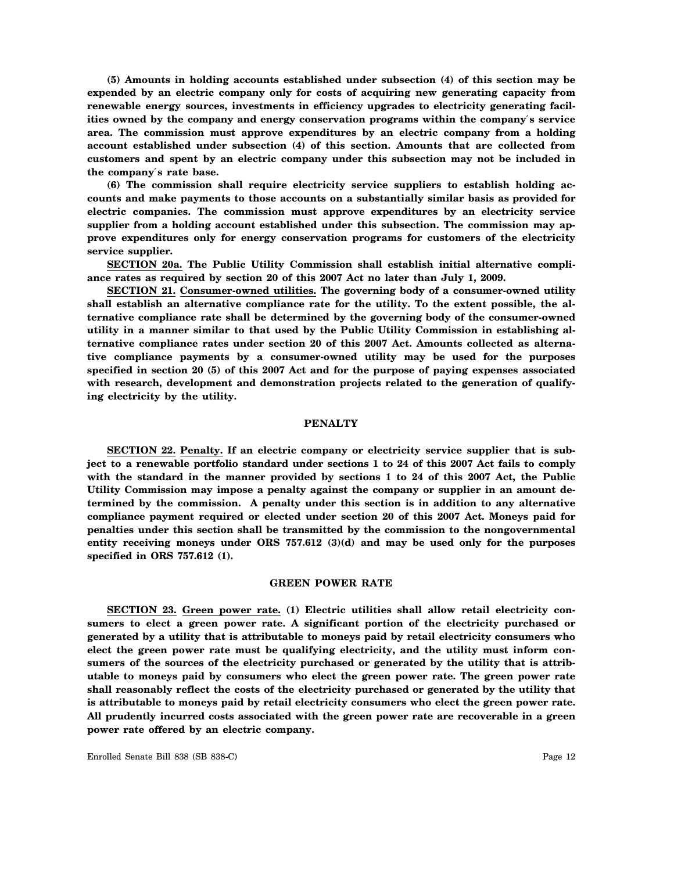**(5) Amounts in holding accounts established under subsection (4) of this section may be expended by an electric company only for costs of acquiring new generating capacity from renewable energy sources, investments in efficiency upgrades to electricity generating facilities owned by the company and energy conservation programs within the company**′**s service area. The commission must approve expenditures by an electric company from a holding account established under subsection (4) of this section. Amounts that are collected from customers and spent by an electric company under this subsection may not be included in the company**′**s rate base.**

**(6) The commission shall require electricity service suppliers to establish holding accounts and make payments to those accounts on a substantially similar basis as provided for electric companies. The commission must approve expenditures by an electricity service supplier from a holding account established under this subsection. The commission may approve expenditures only for energy conservation programs for customers of the electricity service supplier.**

**SECTION 20a. The Public Utility Commission shall establish initial alternative compliance rates as required by section 20 of this 2007 Act no later than July 1, 2009.**

**SECTION 21. Consumer-owned utilities. The governing body of a consumer-owned utility shall establish an alternative compliance rate for the utility. To the extent possible, the alternative compliance rate shall be determined by the governing body of the consumer-owned utility in a manner similar to that used by the Public Utility Commission in establishing alternative compliance rates under section 20 of this 2007 Act. Amounts collected as alternative compliance payments by a consumer-owned utility may be used for the purposes specified in section 20 (5) of this 2007 Act and for the purpose of paying expenses associated** with research, development and demonstration projects related to the generation of qualify**ing electricity by the utility.**

## **PENALTY**

**SECTION 22. Penalty. If an electric company or electricity service supplier that is subject to a renewable portfolio standard under sections 1 to 24 of this 2007 Act fails to comply with the standard in the manner provided by sections 1 to 24 of this 2007 Act, the Public Utility Commission may impose a penalty against the company or supplier in an amount determined by the commission. A penalty under this section is in addition to any alternative compliance payment required or elected under section 20 of this 2007 Act. Moneys paid for penalties under this section shall be transmitted by the commission to the nongovernmental entity receiving moneys under ORS 757.612 (3)(d) and may be used only for the purposes specified in ORS 757.612 (1).**

#### **GREEN POWER RATE**

**SECTION 23. Green power rate. (1) Electric utilities shall allow retail electricity consumers to elect a green power rate. A significant portion of the electricity purchased or generated by a utility that is attributable to moneys paid by retail electricity consumers who elect the green power rate must be qualifying electricity, and the utility must inform consumers of the sources of the electricity purchased or generated by the utility that is attributable to moneys paid by consumers who elect the green power rate. The green power rate shall reasonably reflect the costs of the electricity purchased or generated by the utility that is attributable to moneys paid by retail electricity consumers who elect the green power rate. All prudently incurred costs associated with the green power rate are recoverable in a green power rate offered by an electric company.**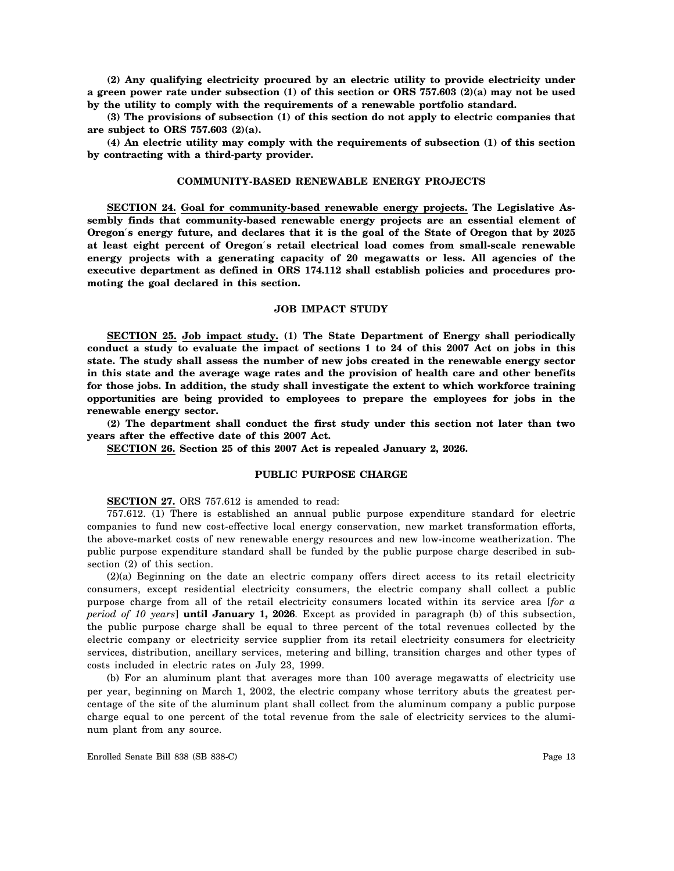**(2) Any qualifying electricity procured by an electric utility to provide electricity under a green power rate under subsection (1) of this section or ORS 757.603 (2)(a) may not be used by the utility to comply with the requirements of a renewable portfolio standard.**

**(3) The provisions of subsection (1) of this section do not apply to electric companies that are subject to ORS 757.603 (2)(a).**

**(4) An electric utility may comply with the requirements of subsection (1) of this section by contracting with a third-party provider.**

## **COMMUNITY-BASED RENEWABLE ENERGY PROJECTS**

**SECTION 24. Goal for community-based renewable energy projects. The Legislative Assembly finds that community-based renewable energy projects are an essential element of Oregon**′**s energy future, and declares that it is the goal of the State of Oregon that by 2025 at least eight percent of Oregon**′**s retail electrical load comes from small-scale renewable energy projects with a generating capacity of 20 megawatts or less. All agencies of the executive department as defined in ORS 174.112 shall establish policies and procedures promoting the goal declared in this section.**

# **JOB IMPACT STUDY**

**SECTION 25. Job impact study. (1) The State Department of Energy shall periodically conduct a study to evaluate the impact of sections 1 to 24 of this 2007 Act on jobs in this state. The study shall assess the number of new jobs created in the renewable energy sector in this state and the average wage rates and the provision of health care and other benefits for those jobs. In addition, the study shall investigate the extent to which workforce training opportunities are being provided to employees to prepare the employees for jobs in the renewable energy sector.**

**(2) The department shall conduct the first study under this section not later than two years after the effective date of this 2007 Act.**

**SECTION 26. Section 25 of this 2007 Act is repealed January 2, 2026.**

#### **PUBLIC PURPOSE CHARGE**

**SECTION 27.** ORS 757.612 is amended to read:

757.612. (1) There is established an annual public purpose expenditure standard for electric companies to fund new cost-effective local energy conservation, new market transformation efforts, the above-market costs of new renewable energy resources and new low-income weatherization. The public purpose expenditure standard shall be funded by the public purpose charge described in subsection (2) of this section.

(2)(a) Beginning on the date an electric company offers direct access to its retail electricity consumers, except residential electricity consumers, the electric company shall collect a public purpose charge from all of the retail electricity consumers located within its service area [*for a period of 10 years*] **until January 1, 2026**. Except as provided in paragraph (b) of this subsection, the public purpose charge shall be equal to three percent of the total revenues collected by the electric company or electricity service supplier from its retail electricity consumers for electricity services, distribution, ancillary services, metering and billing, transition charges and other types of costs included in electric rates on July 23, 1999.

(b) For an aluminum plant that averages more than 100 average megawatts of electricity use per year, beginning on March 1, 2002, the electric company whose territory abuts the greatest percentage of the site of the aluminum plant shall collect from the aluminum company a public purpose charge equal to one percent of the total revenue from the sale of electricity services to the aluminum plant from any source.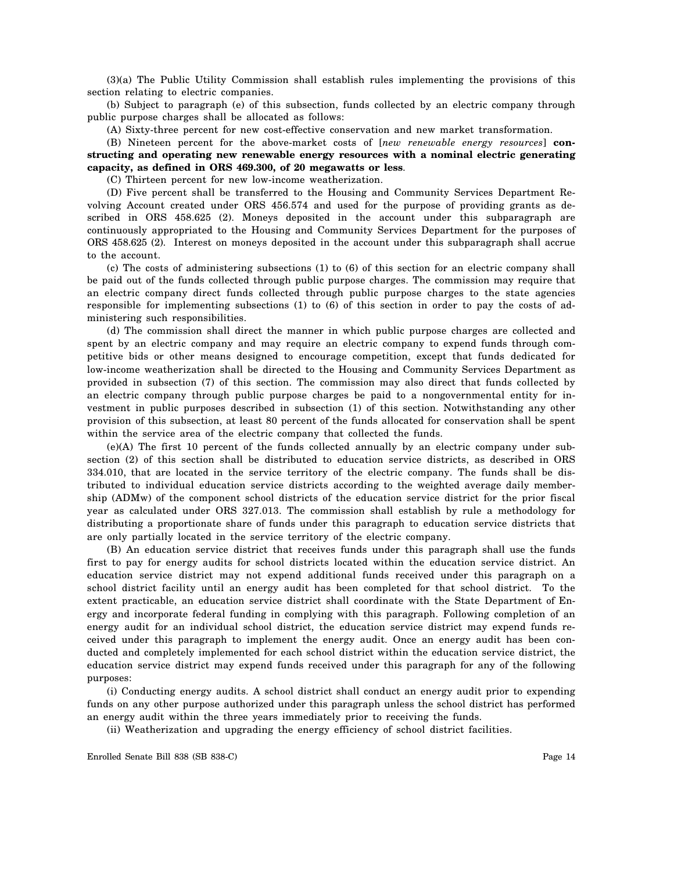(3)(a) The Public Utility Commission shall establish rules implementing the provisions of this section relating to electric companies.

(b) Subject to paragraph (e) of this subsection, funds collected by an electric company through public purpose charges shall be allocated as follows:

(A) Sixty-three percent for new cost-effective conservation and new market transformation.

(B) Nineteen percent for the above-market costs of [*new renewable energy resources*] **constructing and operating new renewable energy resources with a nominal electric generating capacity, as defined in ORS 469.300, of 20 megawatts or less**.

(C) Thirteen percent for new low-income weatherization.

(D) Five percent shall be transferred to the Housing and Community Services Department Revolving Account created under ORS 456.574 and used for the purpose of providing grants as described in ORS 458.625 (2). Moneys deposited in the account under this subparagraph are continuously appropriated to the Housing and Community Services Department for the purposes of ORS 458.625 (2). Interest on moneys deposited in the account under this subparagraph shall accrue to the account.

(c) The costs of administering subsections (1) to (6) of this section for an electric company shall be paid out of the funds collected through public purpose charges. The commission may require that an electric company direct funds collected through public purpose charges to the state agencies responsible for implementing subsections (1) to (6) of this section in order to pay the costs of administering such responsibilities.

(d) The commission shall direct the manner in which public purpose charges are collected and spent by an electric company and may require an electric company to expend funds through competitive bids or other means designed to encourage competition, except that funds dedicated for low-income weatherization shall be directed to the Housing and Community Services Department as provided in subsection (7) of this section. The commission may also direct that funds collected by an electric company through public purpose charges be paid to a nongovernmental entity for investment in public purposes described in subsection (1) of this section. Notwithstanding any other provision of this subsection, at least 80 percent of the funds allocated for conservation shall be spent within the service area of the electric company that collected the funds.

(e)(A) The first 10 percent of the funds collected annually by an electric company under subsection (2) of this section shall be distributed to education service districts, as described in ORS 334.010, that are located in the service territory of the electric company. The funds shall be distributed to individual education service districts according to the weighted average daily membership (ADMw) of the component school districts of the education service district for the prior fiscal year as calculated under ORS 327.013. The commission shall establish by rule a methodology for distributing a proportionate share of funds under this paragraph to education service districts that are only partially located in the service territory of the electric company.

(B) An education service district that receives funds under this paragraph shall use the funds first to pay for energy audits for school districts located within the education service district. An education service district may not expend additional funds received under this paragraph on a school district facility until an energy audit has been completed for that school district. To the extent practicable, an education service district shall coordinate with the State Department of Energy and incorporate federal funding in complying with this paragraph. Following completion of an energy audit for an individual school district, the education service district may expend funds received under this paragraph to implement the energy audit. Once an energy audit has been conducted and completely implemented for each school district within the education service district, the education service district may expend funds received under this paragraph for any of the following purposes:

(i) Conducting energy audits. A school district shall conduct an energy audit prior to expending funds on any other purpose authorized under this paragraph unless the school district has performed an energy audit within the three years immediately prior to receiving the funds.

(ii) Weatherization and upgrading the energy efficiency of school district facilities.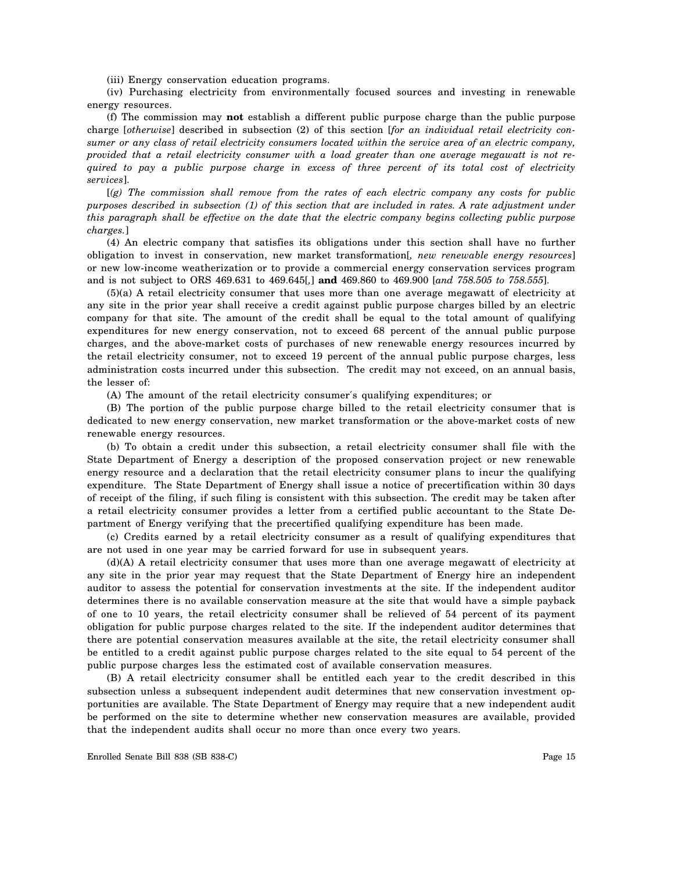(iii) Energy conservation education programs.

(iv) Purchasing electricity from environmentally focused sources and investing in renewable energy resources.

(f) The commission may **not** establish a different public purpose charge than the public purpose charge [*otherwise*] described in subsection (2) of this section [*for an individual retail electricity consumer or any class of retail electricity consumers located within the service area of an electric company, provided that a retail electricity consumer with a load greater than one average megawatt is not required to pay a public purpose charge in excess of three percent of its total cost of electricity services*].

[*(g) The commission shall remove from the rates of each electric company any costs for public purposes described in subsection (1) of this section that are included in rates. A rate adjustment under this paragraph shall be effective on the date that the electric company begins collecting public purpose charges.*]

(4) An electric company that satisfies its obligations under this section shall have no further obligation to invest in conservation, new market transformation[*, new renewable energy resources*] or new low-income weatherization or to provide a commercial energy conservation services program and is not subject to ORS 469.631 to 469.645[*,*] **and** 469.860 to 469.900 [*and 758.505 to 758.555*].

(5)(a) A retail electricity consumer that uses more than one average megawatt of electricity at any site in the prior year shall receive a credit against public purpose charges billed by an electric company for that site. The amount of the credit shall be equal to the total amount of qualifying expenditures for new energy conservation, not to exceed 68 percent of the annual public purpose charges, and the above-market costs of purchases of new renewable energy resources incurred by the retail electricity consumer, not to exceed 19 percent of the annual public purpose charges, less administration costs incurred under this subsection. The credit may not exceed, on an annual basis, the lesser of:

(A) The amount of the retail electricity consumer′s qualifying expenditures; or

(B) The portion of the public purpose charge billed to the retail electricity consumer that is dedicated to new energy conservation, new market transformation or the above-market costs of new renewable energy resources.

(b) To obtain a credit under this subsection, a retail electricity consumer shall file with the State Department of Energy a description of the proposed conservation project or new renewable energy resource and a declaration that the retail electricity consumer plans to incur the qualifying expenditure. The State Department of Energy shall issue a notice of precertification within 30 days of receipt of the filing, if such filing is consistent with this subsection. The credit may be taken after a retail electricity consumer provides a letter from a certified public accountant to the State Department of Energy verifying that the precertified qualifying expenditure has been made.

(c) Credits earned by a retail electricity consumer as a result of qualifying expenditures that are not used in one year may be carried forward for use in subsequent years.

(d)(A) A retail electricity consumer that uses more than one average megawatt of electricity at any site in the prior year may request that the State Department of Energy hire an independent auditor to assess the potential for conservation investments at the site. If the independent auditor determines there is no available conservation measure at the site that would have a simple payback of one to 10 years, the retail electricity consumer shall be relieved of 54 percent of its payment obligation for public purpose charges related to the site. If the independent auditor determines that there are potential conservation measures available at the site, the retail electricity consumer shall be entitled to a credit against public purpose charges related to the site equal to 54 percent of the public purpose charges less the estimated cost of available conservation measures.

(B) A retail electricity consumer shall be entitled each year to the credit described in this subsection unless a subsequent independent audit determines that new conservation investment opportunities are available. The State Department of Energy may require that a new independent audit be performed on the site to determine whether new conservation measures are available, provided that the independent audits shall occur no more than once every two years.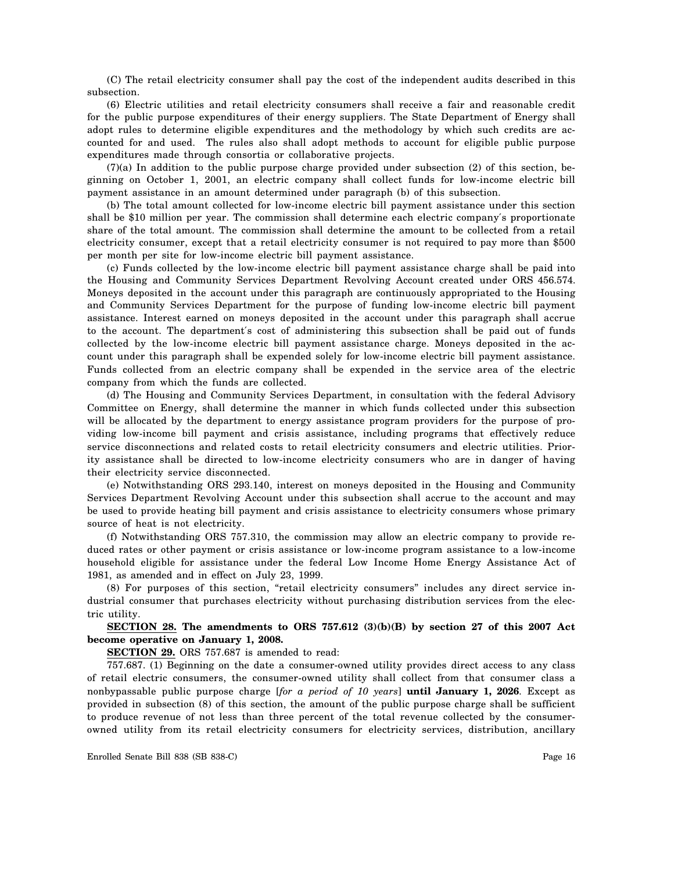(C) The retail electricity consumer shall pay the cost of the independent audits described in this subsection.

(6) Electric utilities and retail electricity consumers shall receive a fair and reasonable credit for the public purpose expenditures of their energy suppliers. The State Department of Energy shall adopt rules to determine eligible expenditures and the methodology by which such credits are accounted for and used. The rules also shall adopt methods to account for eligible public purpose expenditures made through consortia or collaborative projects.

(7)(a) In addition to the public purpose charge provided under subsection (2) of this section, beginning on October 1, 2001, an electric company shall collect funds for low-income electric bill payment assistance in an amount determined under paragraph (b) of this subsection.

(b) The total amount collected for low-income electric bill payment assistance under this section shall be \$10 million per year. The commission shall determine each electric company′s proportionate share of the total amount. The commission shall determine the amount to be collected from a retail electricity consumer, except that a retail electricity consumer is not required to pay more than \$500 per month per site for low-income electric bill payment assistance.

(c) Funds collected by the low-income electric bill payment assistance charge shall be paid into the Housing and Community Services Department Revolving Account created under ORS 456.574. Moneys deposited in the account under this paragraph are continuously appropriated to the Housing and Community Services Department for the purpose of funding low-income electric bill payment assistance. Interest earned on moneys deposited in the account under this paragraph shall accrue to the account. The department′s cost of administering this subsection shall be paid out of funds collected by the low-income electric bill payment assistance charge. Moneys deposited in the account under this paragraph shall be expended solely for low-income electric bill payment assistance. Funds collected from an electric company shall be expended in the service area of the electric company from which the funds are collected.

(d) The Housing and Community Services Department, in consultation with the federal Advisory Committee on Energy, shall determine the manner in which funds collected under this subsection will be allocated by the department to energy assistance program providers for the purpose of providing low-income bill payment and crisis assistance, including programs that effectively reduce service disconnections and related costs to retail electricity consumers and electric utilities. Priority assistance shall be directed to low-income electricity consumers who are in danger of having their electricity service disconnected.

(e) Notwithstanding ORS 293.140, interest on moneys deposited in the Housing and Community Services Department Revolving Account under this subsection shall accrue to the account and may be used to provide heating bill payment and crisis assistance to electricity consumers whose primary source of heat is not electricity.

(f) Notwithstanding ORS 757.310, the commission may allow an electric company to provide reduced rates or other payment or crisis assistance or low-income program assistance to a low-income household eligible for assistance under the federal Low Income Home Energy Assistance Act of 1981, as amended and in effect on July 23, 1999.

(8) For purposes of this section, "retail electricity consumers" includes any direct service industrial consumer that purchases electricity without purchasing distribution services from the electric utility.

**SECTION 28. The amendments to ORS 757.612 (3)(b)(B) by section 27 of this 2007 Act become operative on January 1, 2008.**

**SECTION 29.** ORS 757.687 is amended to read:

757.687. (1) Beginning on the date a consumer-owned utility provides direct access to any class of retail electric consumers, the consumer-owned utility shall collect from that consumer class a nonbypassable public purpose charge [*for a period of 10 years*] **until January 1, 2026**. Except as provided in subsection (8) of this section, the amount of the public purpose charge shall be sufficient to produce revenue of not less than three percent of the total revenue collected by the consumerowned utility from its retail electricity consumers for electricity services, distribution, ancillary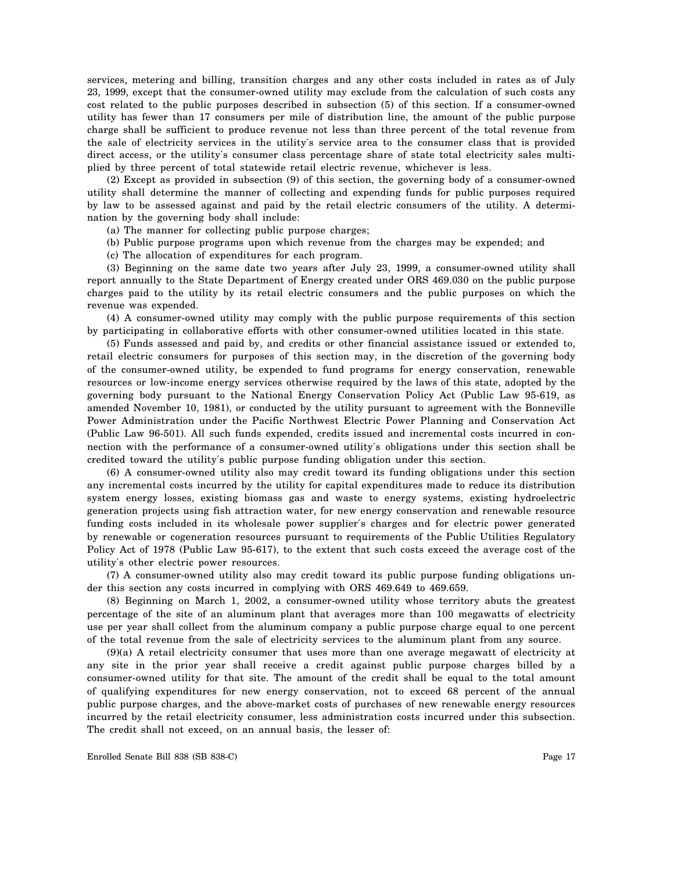services, metering and billing, transition charges and any other costs included in rates as of July 23, 1999, except that the consumer-owned utility may exclude from the calculation of such costs any cost related to the public purposes described in subsection (5) of this section. If a consumer-owned utility has fewer than 17 consumers per mile of distribution line, the amount of the public purpose charge shall be sufficient to produce revenue not less than three percent of the total revenue from the sale of electricity services in the utility′s service area to the consumer class that is provided direct access, or the utility′s consumer class percentage share of state total electricity sales multiplied by three percent of total statewide retail electric revenue, whichever is less.

(2) Except as provided in subsection (9) of this section, the governing body of a consumer-owned utility shall determine the manner of collecting and expending funds for public purposes required by law to be assessed against and paid by the retail electric consumers of the utility. A determination by the governing body shall include:

(a) The manner for collecting public purpose charges;

(b) Public purpose programs upon which revenue from the charges may be expended; and

(c) The allocation of expenditures for each program.

(3) Beginning on the same date two years after July 23, 1999, a consumer-owned utility shall report annually to the State Department of Energy created under ORS 469.030 on the public purpose charges paid to the utility by its retail electric consumers and the public purposes on which the revenue was expended.

(4) A consumer-owned utility may comply with the public purpose requirements of this section by participating in collaborative efforts with other consumer-owned utilities located in this state.

(5) Funds assessed and paid by, and credits or other financial assistance issued or extended to, retail electric consumers for purposes of this section may, in the discretion of the governing body of the consumer-owned utility, be expended to fund programs for energy conservation, renewable resources or low-income energy services otherwise required by the laws of this state, adopted by the governing body pursuant to the National Energy Conservation Policy Act (Public Law 95-619, as amended November 10, 1981), or conducted by the utility pursuant to agreement with the Bonneville Power Administration under the Pacific Northwest Electric Power Planning and Conservation Act (Public Law 96-501). All such funds expended, credits issued and incremental costs incurred in connection with the performance of a consumer-owned utility′s obligations under this section shall be credited toward the utility′s public purpose funding obligation under this section.

(6) A consumer-owned utility also may credit toward its funding obligations under this section any incremental costs incurred by the utility for capital expenditures made to reduce its distribution system energy losses, existing biomass gas and waste to energy systems, existing hydroelectric generation projects using fish attraction water, for new energy conservation and renewable resource funding costs included in its wholesale power supplier′s charges and for electric power generated by renewable or cogeneration resources pursuant to requirements of the Public Utilities Regulatory Policy Act of 1978 (Public Law 95-617), to the extent that such costs exceed the average cost of the utility′s other electric power resources.

(7) A consumer-owned utility also may credit toward its public purpose funding obligations under this section any costs incurred in complying with ORS 469.649 to 469.659.

(8) Beginning on March 1, 2002, a consumer-owned utility whose territory abuts the greatest percentage of the site of an aluminum plant that averages more than 100 megawatts of electricity use per year shall collect from the aluminum company a public purpose charge equal to one percent of the total revenue from the sale of electricity services to the aluminum plant from any source.

(9)(a) A retail electricity consumer that uses more than one average megawatt of electricity at any site in the prior year shall receive a credit against public purpose charges billed by a consumer-owned utility for that site. The amount of the credit shall be equal to the total amount of qualifying expenditures for new energy conservation, not to exceed 68 percent of the annual public purpose charges, and the above-market costs of purchases of new renewable energy resources incurred by the retail electricity consumer, less administration costs incurred under this subsection. The credit shall not exceed, on an annual basis, the lesser of: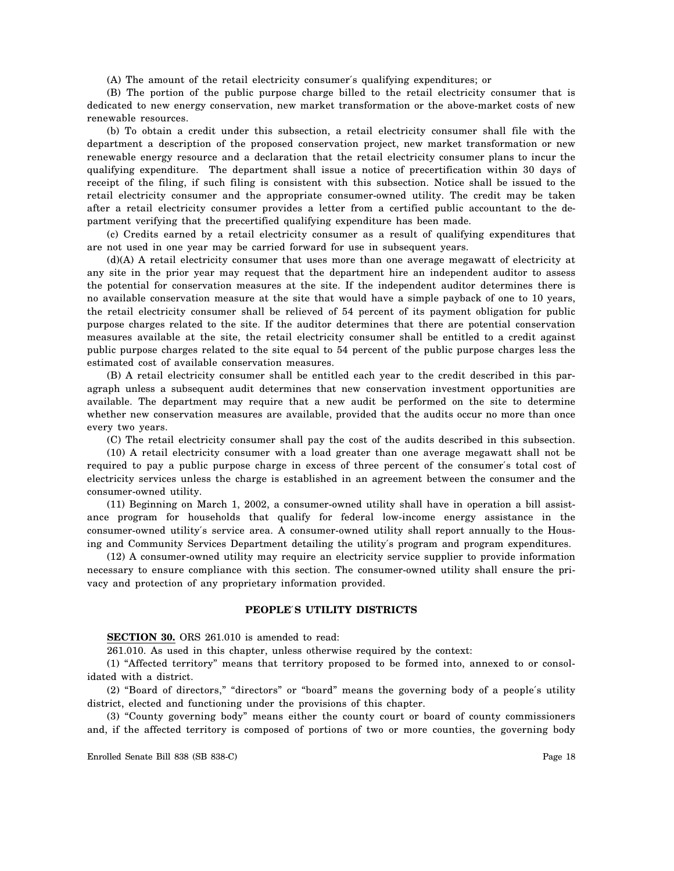(A) The amount of the retail electricity consumer′s qualifying expenditures; or

(B) The portion of the public purpose charge billed to the retail electricity consumer that is dedicated to new energy conservation, new market transformation or the above-market costs of new renewable resources.

(b) To obtain a credit under this subsection, a retail electricity consumer shall file with the department a description of the proposed conservation project, new market transformation or new renewable energy resource and a declaration that the retail electricity consumer plans to incur the qualifying expenditure. The department shall issue a notice of precertification within 30 days of receipt of the filing, if such filing is consistent with this subsection. Notice shall be issued to the retail electricity consumer and the appropriate consumer-owned utility. The credit may be taken after a retail electricity consumer provides a letter from a certified public accountant to the department verifying that the precertified qualifying expenditure has been made.

(c) Credits earned by a retail electricity consumer as a result of qualifying expenditures that are not used in one year may be carried forward for use in subsequent years.

(d)(A) A retail electricity consumer that uses more than one average megawatt of electricity at any site in the prior year may request that the department hire an independent auditor to assess the potential for conservation measures at the site. If the independent auditor determines there is no available conservation measure at the site that would have a simple payback of one to 10 years, the retail electricity consumer shall be relieved of 54 percent of its payment obligation for public purpose charges related to the site. If the auditor determines that there are potential conservation measures available at the site, the retail electricity consumer shall be entitled to a credit against public purpose charges related to the site equal to 54 percent of the public purpose charges less the estimated cost of available conservation measures.

(B) A retail electricity consumer shall be entitled each year to the credit described in this paragraph unless a subsequent audit determines that new conservation investment opportunities are available. The department may require that a new audit be performed on the site to determine whether new conservation measures are available, provided that the audits occur no more than once every two years.

(C) The retail electricity consumer shall pay the cost of the audits described in this subsection.

(10) A retail electricity consumer with a load greater than one average megawatt shall not be required to pay a public purpose charge in excess of three percent of the consumer′s total cost of electricity services unless the charge is established in an agreement between the consumer and the consumer-owned utility.

(11) Beginning on March 1, 2002, a consumer-owned utility shall have in operation a bill assistance program for households that qualify for federal low-income energy assistance in the consumer-owned utility′s service area. A consumer-owned utility shall report annually to the Housing and Community Services Department detailing the utility′s program and program expenditures.

(12) A consumer-owned utility may require an electricity service supplier to provide information necessary to ensure compliance with this section. The consumer-owned utility shall ensure the privacy and protection of any proprietary information provided.

## **PEOPLE**′**S UTILITY DISTRICTS**

**SECTION 30.** ORS 261.010 is amended to read:

261.010. As used in this chapter, unless otherwise required by the context:

(1) "Affected territory" means that territory proposed to be formed into, annexed to or consolidated with a district.

(2) "Board of directors," "directors" or "board" means the governing body of a people′s utility district, elected and functioning under the provisions of this chapter.

(3) "County governing body" means either the county court or board of county commissioners and, if the affected territory is composed of portions of two or more counties, the governing body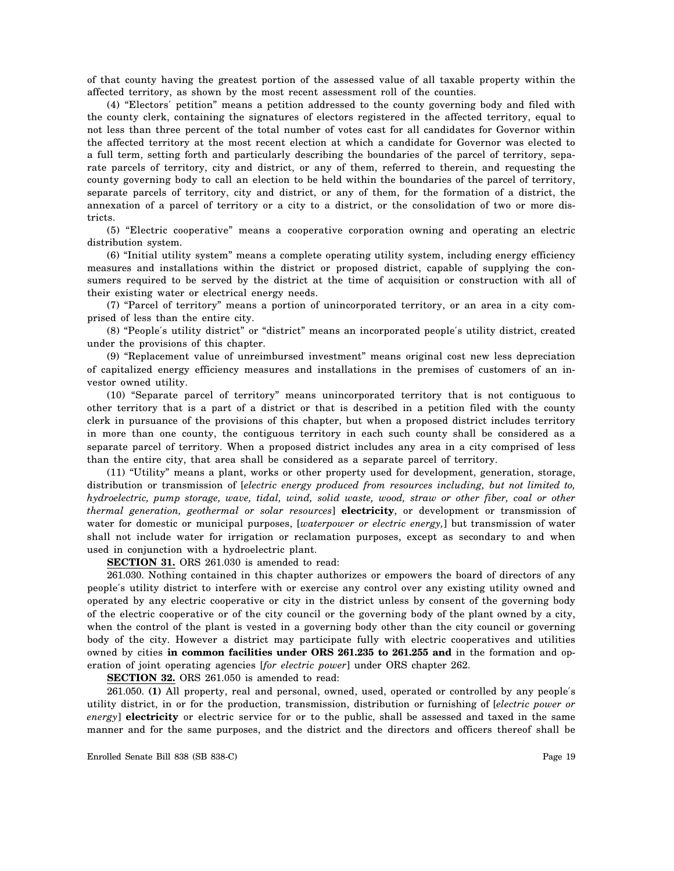of that county having the greatest portion of the assessed value of all taxable property within the affected territory, as shown by the most recent assessment roll of the counties.

(4) "Electors′ petition" means a petition addressed to the county governing body and filed with the county clerk, containing the signatures of electors registered in the affected territory, equal to not less than three percent of the total number of votes cast for all candidates for Governor within the affected territory at the most recent election at which a candidate for Governor was elected to a full term, setting forth and particularly describing the boundaries of the parcel of territory, separate parcels of territory, city and district, or any of them, referred to therein, and requesting the county governing body to call an election to be held within the boundaries of the parcel of territory, separate parcels of territory, city and district, or any of them, for the formation of a district, the annexation of a parcel of territory or a city to a district, or the consolidation of two or more districts.

(5) "Electric cooperative" means a cooperative corporation owning and operating an electric distribution system.

(6) "Initial utility system" means a complete operating utility system, including energy efficiency measures and installations within the district or proposed district, capable of supplying the consumers required to be served by the district at the time of acquisition or construction with all of their existing water or electrical energy needs.

(7) "Parcel of territory" means a portion of unincorporated territory, or an area in a city comprised of less than the entire city.

(8) "People′s utility district" or "district" means an incorporated people′s utility district, created under the provisions of this chapter.

(9) "Replacement value of unreimbursed investment" means original cost new less depreciation of capitalized energy efficiency measures and installations in the premises of customers of an investor owned utility.

(10) "Separate parcel of territory" means unincorporated territory that is not contiguous to other territory that is a part of a district or that is described in a petition filed with the county clerk in pursuance of the provisions of this chapter, but when a proposed district includes territory in more than one county, the contiguous territory in each such county shall be considered as a separate parcel of territory. When a proposed district includes any area in a city comprised of less than the entire city, that area shall be considered as a separate parcel of territory.

(11) "Utility" means a plant, works or other property used for development, generation, storage, distribution or transmission of [*electric energy produced from resources including, but not limited to, hydroelectric, pump storage, wave, tidal, wind, solid waste, wood, straw or other fiber, coal or other thermal generation, geothermal or solar resources*] **electricity**, or development or transmission of water for domestic or municipal purposes, [*waterpower or electric energy,*] but transmission of water shall not include water for irrigation or reclamation purposes, except as secondary to and when used in conjunction with a hydroelectric plant.

**SECTION 31.** ORS 261.030 is amended to read:

261.030. Nothing contained in this chapter authorizes or empowers the board of directors of any people′s utility district to interfere with or exercise any control over any existing utility owned and operated by any electric cooperative or city in the district unless by consent of the governing body of the electric cooperative or of the city council or the governing body of the plant owned by a city, when the control of the plant is vested in a governing body other than the city council or governing body of the city. However a district may participate fully with electric cooperatives and utilities owned by cities **in common facilities under ORS 261.235 to 261.255 and** in the formation and operation of joint operating agencies [*for electric power*] under ORS chapter 262.

**SECTION 32.** ORS 261.050 is amended to read:

261.050. **(1)** All property, real and personal, owned, used, operated or controlled by any people′s utility district, in or for the production, transmission, distribution or furnishing of [*electric power or energy*] **electricity** or electric service for or to the public, shall be assessed and taxed in the same manner and for the same purposes, and the district and the directors and officers thereof shall be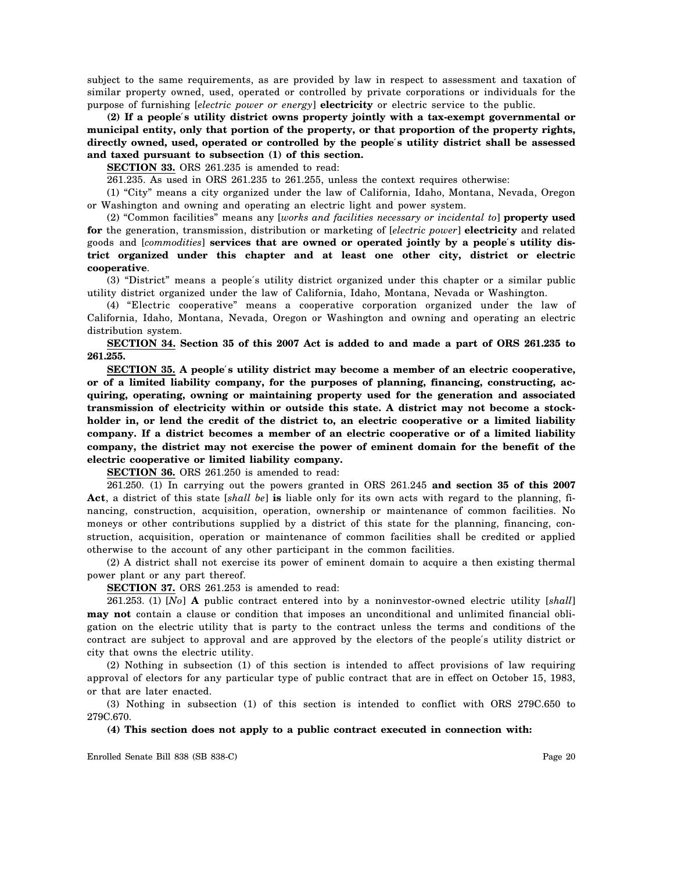subject to the same requirements, as are provided by law in respect to assessment and taxation of similar property owned, used, operated or controlled by private corporations or individuals for the purpose of furnishing [*electric power or energy*] **electricity** or electric service to the public.

**(2) If a people**′**s utility district owns property jointly with a tax-exempt governmental or municipal entity, only that portion of the property, or that proportion of the property rights, directly owned, used, operated or controlled by the people**′**s utility district shall be assessed and taxed pursuant to subsection (1) of this section.**

**SECTION 33.** ORS 261.235 is amended to read:

261.235. As used in ORS 261.235 to 261.255, unless the context requires otherwise:

(1) "City" means a city organized under the law of California, Idaho, Montana, Nevada, Oregon or Washington and owning and operating an electric light and power system.

(2) "Common facilities" means any [*works and facilities necessary or incidental to*] **property used for** the generation, transmission, distribution or marketing of [*electric power*] **electricity** and related goods and [*commodities*] **services that are owned or operated jointly by a people**′**s utility district organized under this chapter and at least one other city, district or electric cooperative**.

(3) "District" means a people′s utility district organized under this chapter or a similar public utility district organized under the law of California, Idaho, Montana, Nevada or Washington.

(4) "Electric cooperative" means a cooperative corporation organized under the law of California, Idaho, Montana, Nevada, Oregon or Washington and owning and operating an electric distribution system.

**SECTION 34. Section 35 of this 2007 Act is added to and made a part of ORS 261.235 to 261.255.**

**SECTION 35. A people**′**s utility district may become a member of an electric cooperative, or of a limited liability company, for the purposes of planning, financing, constructing, acquiring, operating, owning or maintaining property used for the generation and associated transmission of electricity within or outside this state. A district may not become a stockholder in, or lend the credit of the district to, an electric cooperative or a limited liability company. If a district becomes a member of an electric cooperative or of a limited liability company, the district may not exercise the power of eminent domain for the benefit of the electric cooperative or limited liability company.**

**SECTION 36.** ORS 261.250 is amended to read:

261.250. (1) In carrying out the powers granted in ORS 261.245 **and section 35 of this 2007 Act**, a district of this state [*shall be*] **is** liable only for its own acts with regard to the planning, financing, construction, acquisition, operation, ownership or maintenance of common facilities. No moneys or other contributions supplied by a district of this state for the planning, financing, construction, acquisition, operation or maintenance of common facilities shall be credited or applied otherwise to the account of any other participant in the common facilities.

(2) A district shall not exercise its power of eminent domain to acquire a then existing thermal power plant or any part thereof.

**SECTION 37.** ORS 261.253 is amended to read:

261.253. (1) [*No*] **A** public contract entered into by a noninvestor-owned electric utility [*shall*] **may not** contain a clause or condition that imposes an unconditional and unlimited financial obligation on the electric utility that is party to the contract unless the terms and conditions of the contract are subject to approval and are approved by the electors of the people′s utility district or city that owns the electric utility.

(2) Nothing in subsection (1) of this section is intended to affect provisions of law requiring approval of electors for any particular type of public contract that are in effect on October 15, 1983, or that are later enacted.

(3) Nothing in subsection (1) of this section is intended to conflict with ORS 279C.650 to 279C.670.

**(4) This section does not apply to a public contract executed in connection with:**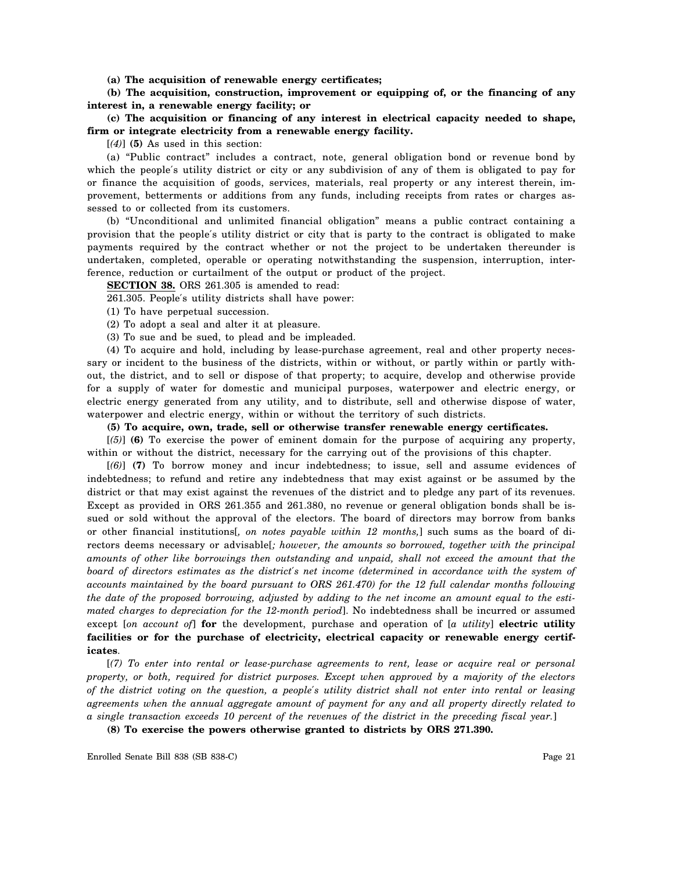**(a) The acquisition of renewable energy certificates;**

**(b) The acquisition, construction, improvement or equipping of, or the financing of any interest in, a renewable energy facility; or**

**(c) The acquisition or financing of any interest in electrical capacity needed to shape, firm or integrate electricity from a renewable energy facility.**

[*(4)*] **(5)** As used in this section:

(a) "Public contract" includes a contract, note, general obligation bond or revenue bond by which the people′s utility district or city or any subdivision of any of them is obligated to pay for or finance the acquisition of goods, services, materials, real property or any interest therein, improvement, betterments or additions from any funds, including receipts from rates or charges assessed to or collected from its customers.

(b) "Unconditional and unlimited financial obligation" means a public contract containing a provision that the people′s utility district or city that is party to the contract is obligated to make payments required by the contract whether or not the project to be undertaken thereunder is undertaken, completed, operable or operating notwithstanding the suspension, interruption, interference, reduction or curtailment of the output or product of the project.

**SECTION 38.** ORS 261.305 is amended to read:

261.305. People′s utility districts shall have power:

(1) To have perpetual succession.

(2) To adopt a seal and alter it at pleasure.

(3) To sue and be sued, to plead and be impleaded.

(4) To acquire and hold, including by lease-purchase agreement, real and other property necessary or incident to the business of the districts, within or without, or partly within or partly without, the district, and to sell or dispose of that property; to acquire, develop and otherwise provide for a supply of water for domestic and municipal purposes, waterpower and electric energy, or electric energy generated from any utility, and to distribute, sell and otherwise dispose of water, waterpower and electric energy, within or without the territory of such districts.

**(5) To acquire, own, trade, sell or otherwise transfer renewable energy certificates.**

[*(5)*] **(6)** To exercise the power of eminent domain for the purpose of acquiring any property, within or without the district, necessary for the carrying out of the provisions of this chapter.

[*(6)*] **(7)** To borrow money and incur indebtedness; to issue, sell and assume evidences of indebtedness; to refund and retire any indebtedness that may exist against or be assumed by the district or that may exist against the revenues of the district and to pledge any part of its revenues. Except as provided in ORS 261.355 and 261.380, no revenue or general obligation bonds shall be issued or sold without the approval of the electors. The board of directors may borrow from banks or other financial institutions[*, on notes payable within 12 months,*] such sums as the board of directors deems necessary or advisable[*; however, the amounts so borrowed, together with the principal amounts of other like borrowings then outstanding and unpaid, shall not exceed the amount that the board of directors estimates as the district*′*s net income (determined in accordance with the system of accounts maintained by the board pursuant to ORS 261.470) for the 12 full calendar months following the date of the proposed borrowing, adjusted by adding to the net income an amount equal to the estimated charges to depreciation for the 12-month period*]. No indebtedness shall be incurred or assumed except [*on account of*] **for** the development, purchase and operation of [*a utility*] **electric utility facilities or for the purchase of electricity, electrical capacity or renewable energy certificates**.

[*(7) To enter into rental or lease-purchase agreements to rent, lease or acquire real or personal property, or both, required for district purposes. Except when approved by a majority of the electors of the district voting on the question, a people*′*s utility district shall not enter into rental or leasing agreements when the annual aggregate amount of payment for any and all property directly related to a single transaction exceeds 10 percent of the revenues of the district in the preceding fiscal year.*]

**(8) To exercise the powers otherwise granted to districts by ORS 271.390.**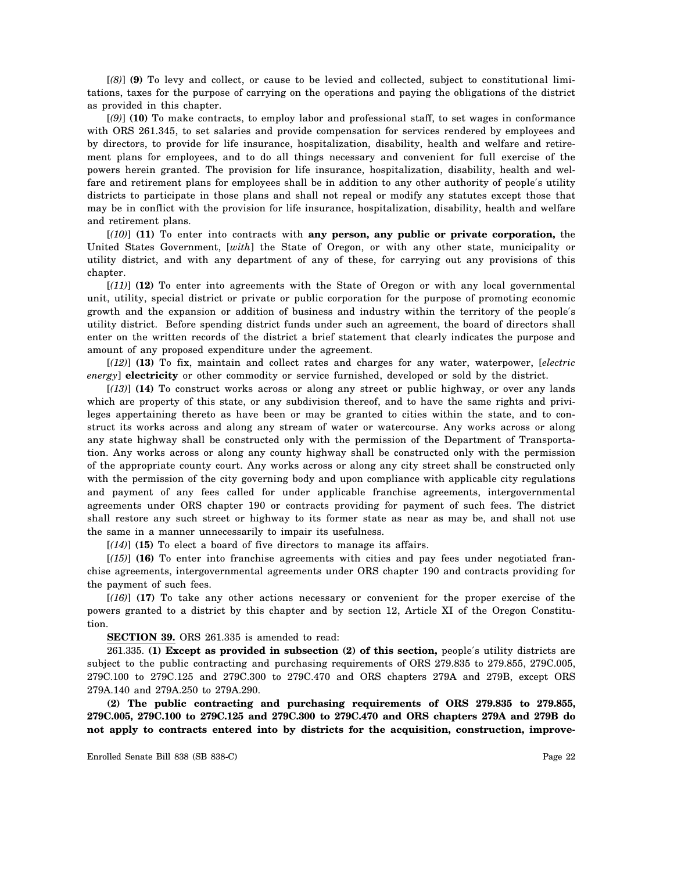[*(8)*] **(9)** To levy and collect, or cause to be levied and collected, subject to constitutional limitations, taxes for the purpose of carrying on the operations and paying the obligations of the district as provided in this chapter.

[*(9)*] **(10)** To make contracts, to employ labor and professional staff, to set wages in conformance with ORS 261.345, to set salaries and provide compensation for services rendered by employees and by directors, to provide for life insurance, hospitalization, disability, health and welfare and retirement plans for employees, and to do all things necessary and convenient for full exercise of the powers herein granted. The provision for life insurance, hospitalization, disability, health and welfare and retirement plans for employees shall be in addition to any other authority of people′s utility districts to participate in those plans and shall not repeal or modify any statutes except those that may be in conflict with the provision for life insurance, hospitalization, disability, health and welfare and retirement plans.

[*(10)*] **(11)** To enter into contracts with **any person, any public or private corporation,** the United States Government, [*with*] the State of Oregon, or with any other state, municipality or utility district, and with any department of any of these, for carrying out any provisions of this chapter.

[*(11)*] **(12)** To enter into agreements with the State of Oregon or with any local governmental unit, utility, special district or private or public corporation for the purpose of promoting economic growth and the expansion or addition of business and industry within the territory of the people′s utility district. Before spending district funds under such an agreement, the board of directors shall enter on the written records of the district a brief statement that clearly indicates the purpose and amount of any proposed expenditure under the agreement.

[*(12)*] **(13)** To fix, maintain and collect rates and charges for any water, waterpower, [*electric energy*] **electricity** or other commodity or service furnished, developed or sold by the district.

[*(13)*] **(14)** To construct works across or along any street or public highway, or over any lands which are property of this state, or any subdivision thereof, and to have the same rights and privileges appertaining thereto as have been or may be granted to cities within the state, and to construct its works across and along any stream of water or watercourse. Any works across or along any state highway shall be constructed only with the permission of the Department of Transportation. Any works across or along any county highway shall be constructed only with the permission of the appropriate county court. Any works across or along any city street shall be constructed only with the permission of the city governing body and upon compliance with applicable city regulations and payment of any fees called for under applicable franchise agreements, intergovernmental agreements under ORS chapter 190 or contracts providing for payment of such fees. The district shall restore any such street or highway to its former state as near as may be, and shall not use the same in a manner unnecessarily to impair its usefulness.

[*(14)*] **(15)** To elect a board of five directors to manage its affairs.

[*(15)*] **(16)** To enter into franchise agreements with cities and pay fees under negotiated franchise agreements, intergovernmental agreements under ORS chapter 190 and contracts providing for the payment of such fees.

[*(16)*] **(17)** To take any other actions necessary or convenient for the proper exercise of the powers granted to a district by this chapter and by section 12, Article XI of the Oregon Constitution.

**SECTION 39.** ORS 261.335 is amended to read:

261.335. **(1) Except as provided in subsection (2) of this section,** people′s utility districts are subject to the public contracting and purchasing requirements of ORS 279.835 to 279.855, 279C.005, 279C.100 to 279C.125 and 279C.300 to 279C.470 and ORS chapters 279A and 279B, except ORS 279A.140 and 279A.250 to 279A.290.

**(2) The public contracting and purchasing requirements of ORS 279.835 to 279.855, 279C.005, 279C.100 to 279C.125 and 279C.300 to 279C.470 and ORS chapters 279A and 279B do not apply to contracts entered into by districts for the acquisition, construction, improve-**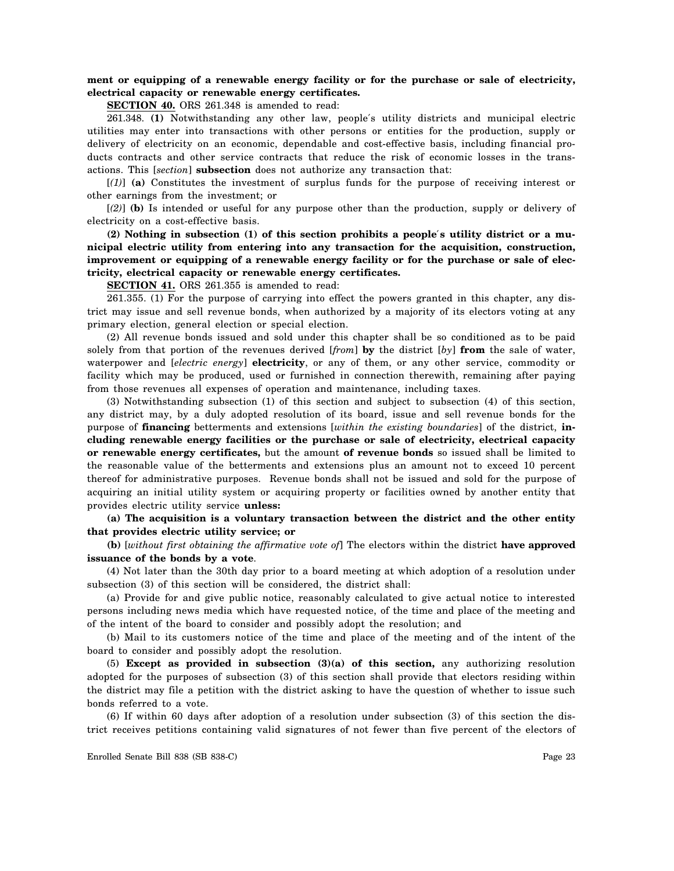## **ment or equipping of a renewable energy facility or for the purchase or sale of electricity, electrical capacity or renewable energy certificates.**

**SECTION 40.** ORS 261.348 is amended to read:

261.348. **(1)** Notwithstanding any other law, people′s utility districts and municipal electric utilities may enter into transactions with other persons or entities for the production, supply or delivery of electricity on an economic, dependable and cost-effective basis, including financial products contracts and other service contracts that reduce the risk of economic losses in the transactions. This [*section*] **subsection** does not authorize any transaction that:

[*(1)*] **(a)** Constitutes the investment of surplus funds for the purpose of receiving interest or other earnings from the investment; or

[*(2)*] **(b)** Is intended or useful for any purpose other than the production, supply or delivery of electricity on a cost-effective basis.

**(2) Nothing in subsection (1) of this section prohibits a people**′**s utility district or a municipal electric utility from entering into any transaction for the acquisition, construction, improvement or equipping of a renewable energy facility or for the purchase or sale of electricity, electrical capacity or renewable energy certificates.**

**SECTION 41.** ORS 261.355 is amended to read:

261.355. (1) For the purpose of carrying into effect the powers granted in this chapter, any district may issue and sell revenue bonds, when authorized by a majority of its electors voting at any primary election, general election or special election.

(2) All revenue bonds issued and sold under this chapter shall be so conditioned as to be paid solely from that portion of the revenues derived [*from*] **by** the district [*by*] **from** the sale of water, waterpower and [*electric energy*] **electricity**, or any of them, or any other service, commodity or facility which may be produced, used or furnished in connection therewith, remaining after paying from those revenues all expenses of operation and maintenance, including taxes.

(3) Notwithstanding subsection (1) of this section and subject to subsection (4) of this section, any district may, by a duly adopted resolution of its board, issue and sell revenue bonds for the purpose of **financing** betterments and extensions [*within the existing boundaries*] of the district, **including renewable energy facilities or the purchase or sale of electricity, electrical capacity or renewable energy certificates,** but the amount **of revenue bonds** so issued shall be limited to the reasonable value of the betterments and extensions plus an amount not to exceed 10 percent thereof for administrative purposes. Revenue bonds shall not be issued and sold for the purpose of acquiring an initial utility system or acquiring property or facilities owned by another entity that provides electric utility service **unless:**

**(a) The acquisition is a voluntary transaction between the district and the other entity that provides electric utility service; or**

**(b)** [*without first obtaining the affirmative vote of*] The electors within the district **have approved issuance of the bonds by a vote**.

(4) Not later than the 30th day prior to a board meeting at which adoption of a resolution under subsection (3) of this section will be considered, the district shall:

(a) Provide for and give public notice, reasonably calculated to give actual notice to interested persons including news media which have requested notice, of the time and place of the meeting and of the intent of the board to consider and possibly adopt the resolution; and

(b) Mail to its customers notice of the time and place of the meeting and of the intent of the board to consider and possibly adopt the resolution.

(5) **Except as provided in subsection (3)(a) of this section,** any authorizing resolution adopted for the purposes of subsection (3) of this section shall provide that electors residing within the district may file a petition with the district asking to have the question of whether to issue such bonds referred to a vote.

(6) If within 60 days after adoption of a resolution under subsection (3) of this section the district receives petitions containing valid signatures of not fewer than five percent of the electors of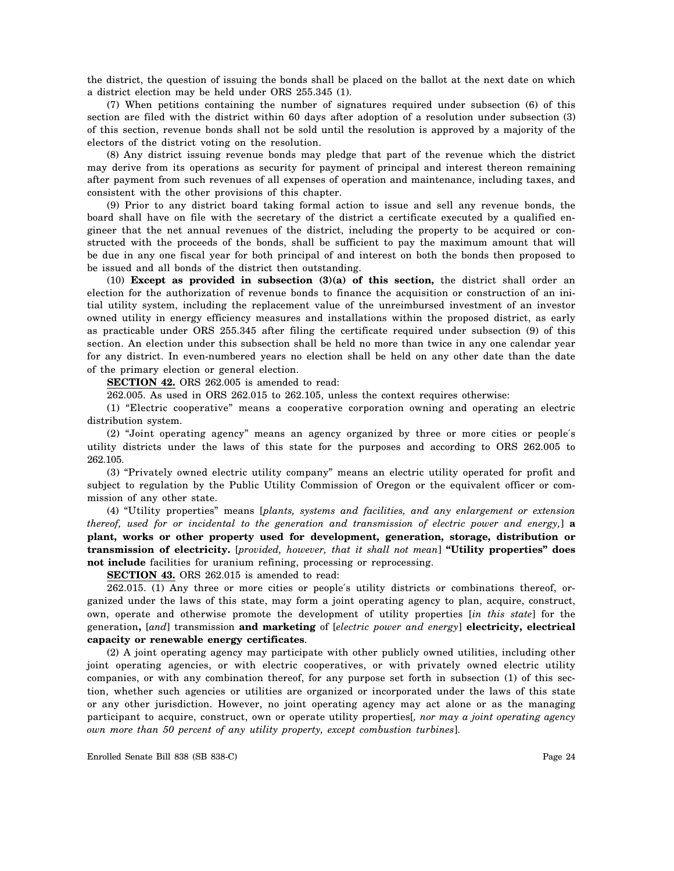the district, the question of issuing the bonds shall be placed on the ballot at the next date on which a district election may be held under ORS 255.345 (1).

(7) When petitions containing the number of signatures required under subsection (6) of this section are filed with the district within 60 days after adoption of a resolution under subsection (3) of this section, revenue bonds shall not be sold until the resolution is approved by a majority of the electors of the district voting on the resolution.

(8) Any district issuing revenue bonds may pledge that part of the revenue which the district may derive from its operations as security for payment of principal and interest thereon remaining after payment from such revenues of all expenses of operation and maintenance, including taxes, and consistent with the other provisions of this chapter.

(9) Prior to any district board taking formal action to issue and sell any revenue bonds, the board shall have on file with the secretary of the district a certificate executed by a qualified engineer that the net annual revenues of the district, including the property to be acquired or constructed with the proceeds of the bonds, shall be sufficient to pay the maximum amount that will be due in any one fiscal year for both principal of and interest on both the bonds then proposed to be issued and all bonds of the district then outstanding.

(10) **Except as provided in subsection (3)(a) of this section,** the district shall order an election for the authorization of revenue bonds to finance the acquisition or construction of an initial utility system, including the replacement value of the unreimbursed investment of an investor owned utility in energy efficiency measures and installations within the proposed district, as early as practicable under ORS 255.345 after filing the certificate required under subsection (9) of this section. An election under this subsection shall be held no more than twice in any one calendar year for any district. In even-numbered years no election shall be held on any other date than the date of the primary election or general election.

**SECTION 42.** ORS 262.005 is amended to read:

262.005. As used in ORS 262.015 to 262.105, unless the context requires otherwise:

(1) "Electric cooperative" means a cooperative corporation owning and operating an electric distribution system.

(2) "Joint operating agency" means an agency organized by three or more cities or people′s utility districts under the laws of this state for the purposes and according to ORS 262.005 to 262.105.

(3) "Privately owned electric utility company" means an electric utility operated for profit and subject to regulation by the Public Utility Commission of Oregon or the equivalent officer or commission of any other state.

(4) "Utility properties" means [*plants, systems and facilities, and any enlargement or extension thereof, used for or incidental to the generation and transmission of electric power and energy,*] **a plant, works or other property used for development, generation, storage, distribution or transmission of electricity.** [*provided, however, that it shall not mean*] **"Utility properties" does not include** facilities for uranium refining, processing or reprocessing.

**SECTION 43.** ORS 262.015 is amended to read:

262.015. (1) Any three or more cities or people′s utility districts or combinations thereof, organized under the laws of this state, may form a joint operating agency to plan, acquire, construct, own, operate and otherwise promote the development of utility properties [*in this state*] for the generation**,** [*and*] transmission **and marketing** of [*electric power and energy*] **electricity, electrical capacity or renewable energy certificates**.

(2) A joint operating agency may participate with other publicly owned utilities, including other joint operating agencies, or with electric cooperatives, or with privately owned electric utility companies, or with any combination thereof, for any purpose set forth in subsection (1) of this section, whether such agencies or utilities are organized or incorporated under the laws of this state or any other jurisdiction. However, no joint operating agency may act alone or as the managing participant to acquire, construct, own or operate utility properties[*, nor may a joint operating agency own more than 50 percent of any utility property, except combustion turbines*].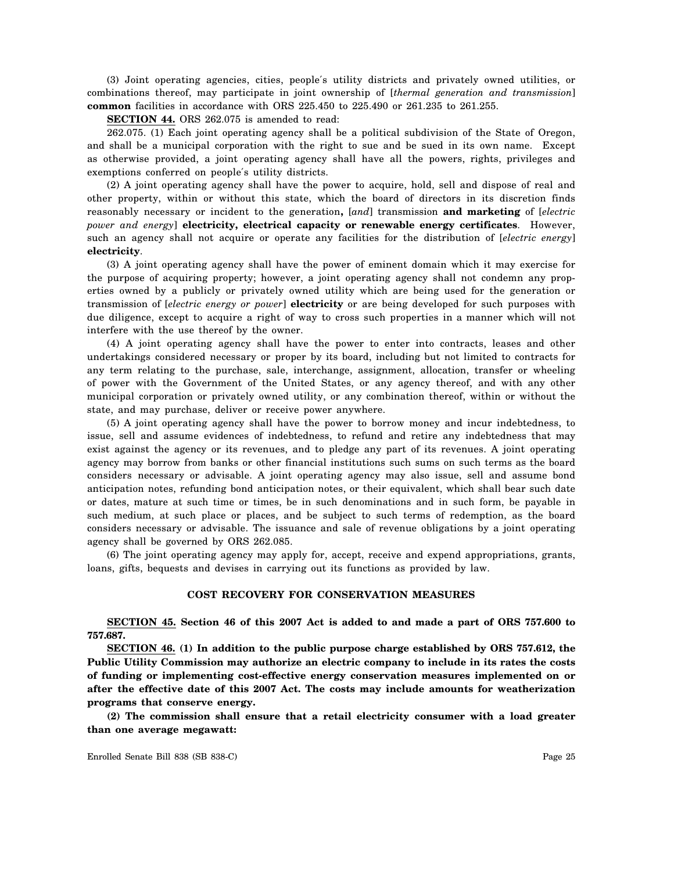(3) Joint operating agencies, cities, people′s utility districts and privately owned utilities, or combinations thereof, may participate in joint ownership of [*thermal generation and transmission*] **common** facilities in accordance with ORS 225.450 to 225.490 or 261.235 to 261.255.

**SECTION 44.** ORS 262.075 is amended to read:

262.075. (1) Each joint operating agency shall be a political subdivision of the State of Oregon, and shall be a municipal corporation with the right to sue and be sued in its own name. Except as otherwise provided, a joint operating agency shall have all the powers, rights, privileges and exemptions conferred on people′s utility districts.

(2) A joint operating agency shall have the power to acquire, hold, sell and dispose of real and other property, within or without this state, which the board of directors in its discretion finds reasonably necessary or incident to the generation**,** [*and*] transmission **and marketing** of [*electric power and energy*] **electricity, electrical capacity or renewable energy certificates**. However, such an agency shall not acquire or operate any facilities for the distribution of [*electric energy*] **electricity**.

(3) A joint operating agency shall have the power of eminent domain which it may exercise for the purpose of acquiring property; however, a joint operating agency shall not condemn any properties owned by a publicly or privately owned utility which are being used for the generation or transmission of [*electric energy or power*] **electricity** or are being developed for such purposes with due diligence, except to acquire a right of way to cross such properties in a manner which will not interfere with the use thereof by the owner.

(4) A joint operating agency shall have the power to enter into contracts, leases and other undertakings considered necessary or proper by its board, including but not limited to contracts for any term relating to the purchase, sale, interchange, assignment, allocation, transfer or wheeling of power with the Government of the United States, or any agency thereof, and with any other municipal corporation or privately owned utility, or any combination thereof, within or without the state, and may purchase, deliver or receive power anywhere.

(5) A joint operating agency shall have the power to borrow money and incur indebtedness, to issue, sell and assume evidences of indebtedness, to refund and retire any indebtedness that may exist against the agency or its revenues, and to pledge any part of its revenues. A joint operating agency may borrow from banks or other financial institutions such sums on such terms as the board considers necessary or advisable. A joint operating agency may also issue, sell and assume bond anticipation notes, refunding bond anticipation notes, or their equivalent, which shall bear such date or dates, mature at such time or times, be in such denominations and in such form, be payable in such medium, at such place or places, and be subject to such terms of redemption, as the board considers necessary or advisable. The issuance and sale of revenue obligations by a joint operating agency shall be governed by ORS 262.085.

(6) The joint operating agency may apply for, accept, receive and expend appropriations, grants, loans, gifts, bequests and devises in carrying out its functions as provided by law.

#### **COST RECOVERY FOR CONSERVATION MEASURES**

**SECTION 45. Section 46 of this 2007 Act is added to and made a part of ORS 757.600 to 757.687.**

**SECTION 46. (1) In addition to the public purpose charge established by ORS 757.612, the Public Utility Commission may authorize an electric company to include in its rates the costs of funding or implementing cost-effective energy conservation measures implemented on or after the effective date of this 2007 Act. The costs may include amounts for weatherization programs that conserve energy.**

**(2) The commission shall ensure that a retail electricity consumer with a load greater than one average megawatt:**